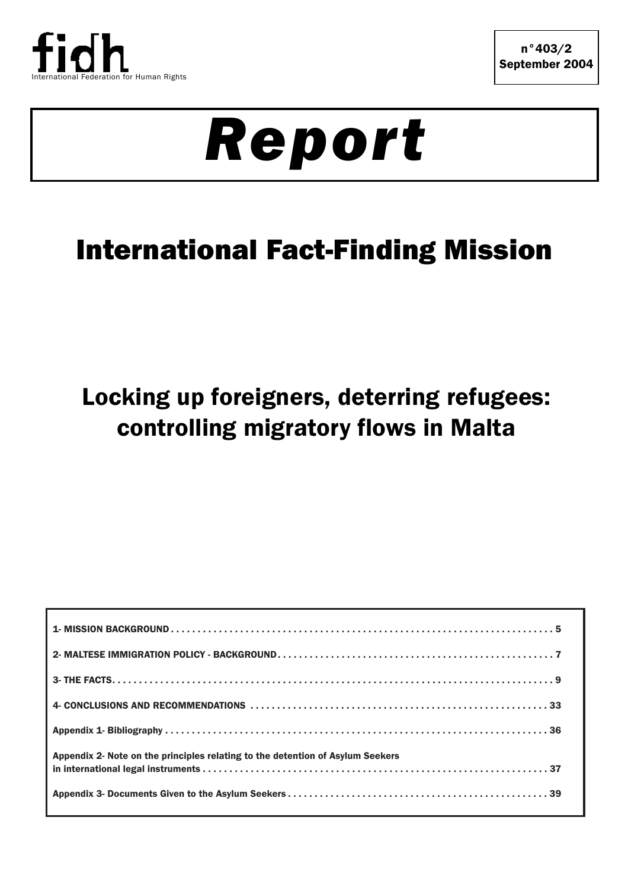

# *Report*

## International Fact-Finding Mission

## Locking up foreigners, deterring refugees: controlling migratory flows in Malta

| Appendix 2- Note on the principles relating to the detention of Asylum Seekers |  |
|--------------------------------------------------------------------------------|--|
|                                                                                |  |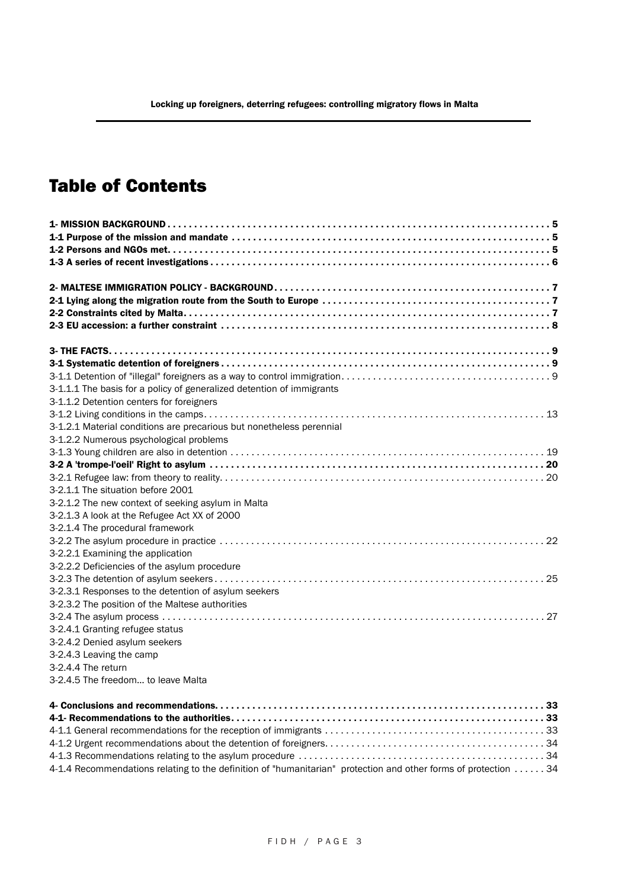## Table of Contents

| 3-1.1.1 The basis for a policy of generalized detention of immigrants |
|-----------------------------------------------------------------------|
| 3-1.1.2 Detention centers for foreigners                              |
|                                                                       |
| 3-1.2.1 Material conditions are precarious but nonetheless perennial  |
| 3-1.2.2 Numerous psychological problems                               |
|                                                                       |
|                                                                       |
|                                                                       |
| 3-2.1.1 The situation before 2001                                     |
| 3-2.1.2 The new context of seeking asylum in Malta                    |
| 3-2.1.3 A look at the Refugee Act XX of 2000                          |
| 3-2.1.4 The procedural framework                                      |
|                                                                       |
| 3-2.2.1 Examining the application                                     |
| 3-2.2.2 Deficiencies of the asylum procedure                          |
|                                                                       |
| 3-2.3.1 Responses to the detention of asylum seekers                  |
| 3-2.3.2 The position of the Maltese authorities                       |
|                                                                       |
| 3-2.4.1 Granting refugee status                                       |
| 3-2.4.2 Denied asylum seekers                                         |
| 3-2.4.3 Leaving the camp                                              |
| 3-2.4.4 The return                                                    |
| 3-2.4.5 The freedom to leave Malta                                    |
|                                                                       |
|                                                                       |
|                                                                       |

| 4-1.4 Recommendations relating to the definition of "humanitarian" protection and other forms of protection 34 |  |
|----------------------------------------------------------------------------------------------------------------|--|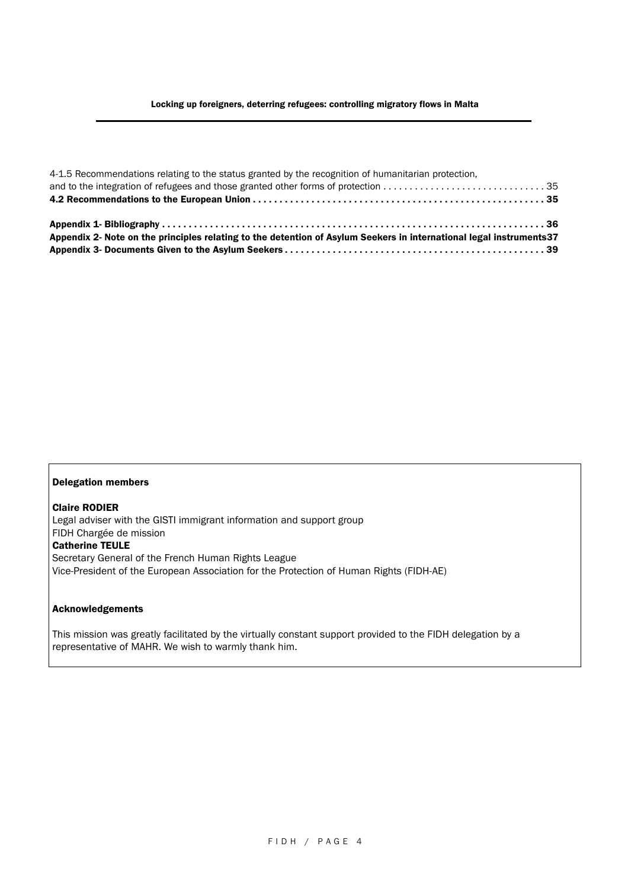| 4-1.5 Recommendations relating to the status granted by the recognition of humanitarian protection,                  |  |
|----------------------------------------------------------------------------------------------------------------------|--|
| and to the integration of refugees and those granted other forms of protection 35                                    |  |
|                                                                                                                      |  |
|                                                                                                                      |  |
| Appendix 2- Note on the principles relating to the detention of Asylum Seekers in international legal instruments 37 |  |
|                                                                                                                      |  |

#### Delegation members

Claire RODIER Legal adviser with the GISTI immigrant information and support group FIDH Chargée de mission Catherine TEULE Secretary General of the French Human Rights League Vice-President of the European Association for the Protection of Human Rights (FIDH-AE)

#### Acknowledgements

This mission was greatly facilitated by the virtually constant support provided to the FIDH delegation by a representative of MAHR. We wish to warmly thank him.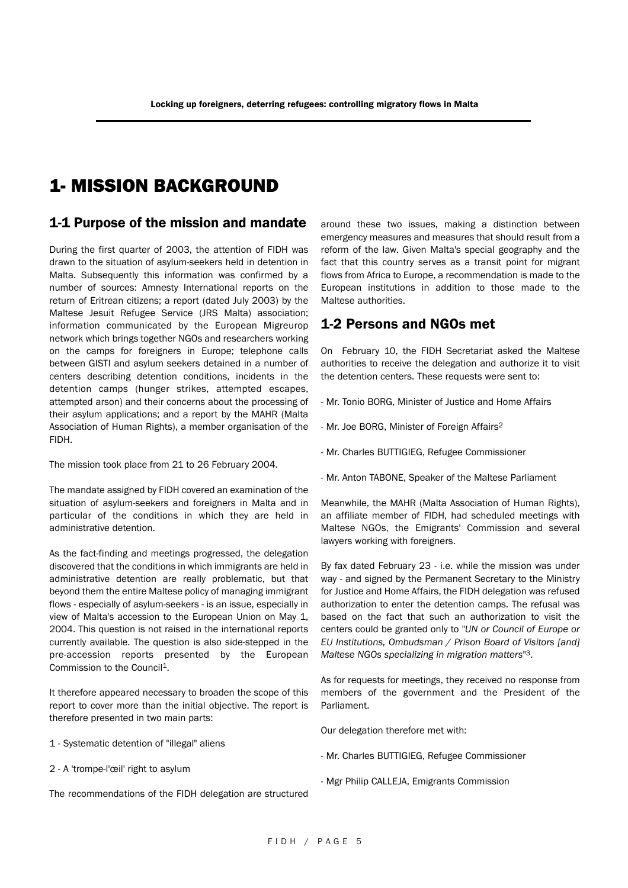## 1- MISSION BACKGROUND

#### 1-1 Purpose of the mission and mandate

During the first quarter of 2003, the attention of FIDH was drawn to the situation of asylum-seekers held in detention in Malta. Subsequently this information was confirmed by a number of sources: Amnesty International reports on the return of Eritrean citizens; a report (dated July 2003) by the Maltese Jesuit Refugee Service (JRS Malta) association; information communicated by the European Migreurop network which brings together NGOs and researchers working on the camps for foreigners in Europe; telephone calls between GISTI and asylum seekers detained in a number of centers describing detention conditions, incidents in the detention camps (hunger strikes, attempted escapes, attempted arson) and their concerns about the processing of their asylum applications; and a report by the MAHR (Malta Association of Human Rights), a member organisation of the FIDH.

The mission took place from 21 to 26 February 2004.

The mandate assigned by FIDH covered an examination of the situation of asylum-seekers and foreigners in Malta and in particular of the conditions in which they are held in administrative detention.

As the fact-finding and meetings progressed, the delegation discovered that the conditions in which immigrants are held in administrative detention are really problematic, but that beyond them the entire Maltese policy of managing immigrant flows - especially of asylum-seekers - is an issue, especially in view of Malta's accession to the European Union on May 1, 2004. This question is not raised in the international reports currently available. The question is also side-stepped in the pre-accession reports presented by the European Commission to the Council1.

It therefore appeared necessary to broaden the scope of this report to cover more than the initial objective. The report is therefore presented in two main parts:

- 1 Systematic detention of "illegal" aliens
- 2 A 'trompe-l'œil' right to asylum

The recommendations of the FIDH delegation are structured

around these two issues, making a distinction between emergency measures and measures that should result from a reform of the law. Given Malta's special geography and the fact that this country serves as a transit point for migrant flows from Africa to Europe, a recommendation is made to the European institutions in addition to those made to the Maltese authorities.

### 1-2 Persons and NGOs met

On February 10, the FIDH Secretariat asked the Maltese authorities to receive the delegation and authorize it to visit the detention centers. These requests were sent to:

- Mr. Tonio BORG, Minister of Justice and Home Affairs
- Mr. Joe BORG, Minister of Foreign Affairs2
- Mr. Charles BUTTIGIEG, Refugee Commissioner
- Mr. Anton TABONE, Speaker of the Maltese Parliament

Meanwhile, the MAHR (Malta Association of Human Rights), an affiliate member of FIDH, had scheduled meetings with Maltese NGOs, the Emigrants' Commission and several lawyers working with foreigners.

By fax dated February 23 - i.e. while the mission was under way - and signed by the Permanent Secretary to the Ministry for Justice and Home Affairs, the FIDH delegation was refused authorization to enter the detention camps. The refusal was based on the fact that such an authorization to visit the centers could be granted only to "*UN or Council of Europe or EU Institutions, Ombudsman / Prison Board of Visitors [and] Maltese NGOs specializing in migration matters*"3.

As for requests for meetings, they received no response from members of the government and the President of the Parliament.

Our delegation therefore met with:

- Mr. Charles BUTTIGIEG, Refugee Commissioner
- Mgr Philip CALLEJA, Emigrants Commission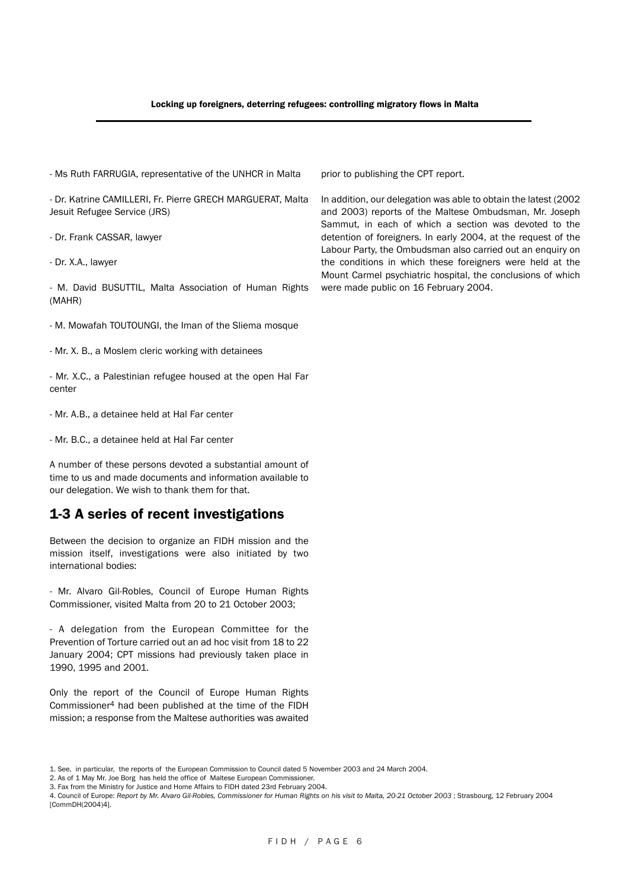- Ms Ruth FARRUGIA, representative of the UNHCR in Malta

- Dr. Katrine CAMILLERI, Fr. Pierre GRECH MARGUERAT, Malta Jesuit Refugee Service (JRS)

- Dr. Frank CASSAR, lawyer

- Dr. X.A., lawyer

- M. David BUSUTTIL, Malta Association of Human Rights (MAHR)

- M. Mowafah TOUTOUNGI, the Iman of the Sliema mosque

- Mr. X. B., a Moslem cleric working with detainees

- Mr. X.C., a Palestinian refugee housed at the open Hal Far center

- Mr. A.B., a detainee held at Hal Far center

- Mr. B.C., a detainee held at Hal Far center

A number of these persons devoted a substantial amount of time to us and made documents and information available to our delegation. We wish to thank them for that.

### 1-3 A series of recent investigations

Between the decision to organize an FIDH mission and the mission itself, investigations were also initiated by two international bodies:

- Mr. Alvaro Gil-Robles, Council of Europe Human Rights Commissioner, visited Malta from 20 to 21 October 2003;

- A delegation from the European Committee for the Prevention of Torture carried out an ad hoc visit from 18 to 22 January 2004; CPT missions had previously taken place in 1990, 1995 and 2001.

Only the report of the Council of Europe Human Rights Commissioner4 had been published at the time of the FIDH mission; a response from the Maltese authorities was awaited prior to publishing the CPT report.

In addition, our delegation was able to obtain the latest (2002 and 2003) reports of the Maltese Ombudsman, Mr. Joseph Sammut, in each of which a section was devoted to the detention of foreigners. In early 2004, at the request of the Labour Party, the Ombudsman also carried out an enquiry on the conditions in which these foreigners were held at the Mount Carmel psychiatric hospital, the conclusions of which were made public on 16 February 2004.

2. As of 1 May Mr. Joe Borg has held the office of Maltese European Commissioner.

3. Fax from the Ministry for Justice and Home Affairs to FIDH dated 23rd February 2004.

4. Council of Europe: *Report by Mr. Alvaro Gil-Robles, Commissioner for Human Rights on his visit to Malta, 20-21 October 2003* ; Strasbourg, 12 February 2004 [CommDH(2004)4].

<sup>1.</sup> See, in particular, the reports of the European Commission to Council dated 5 November 2003 and 24 March 2004.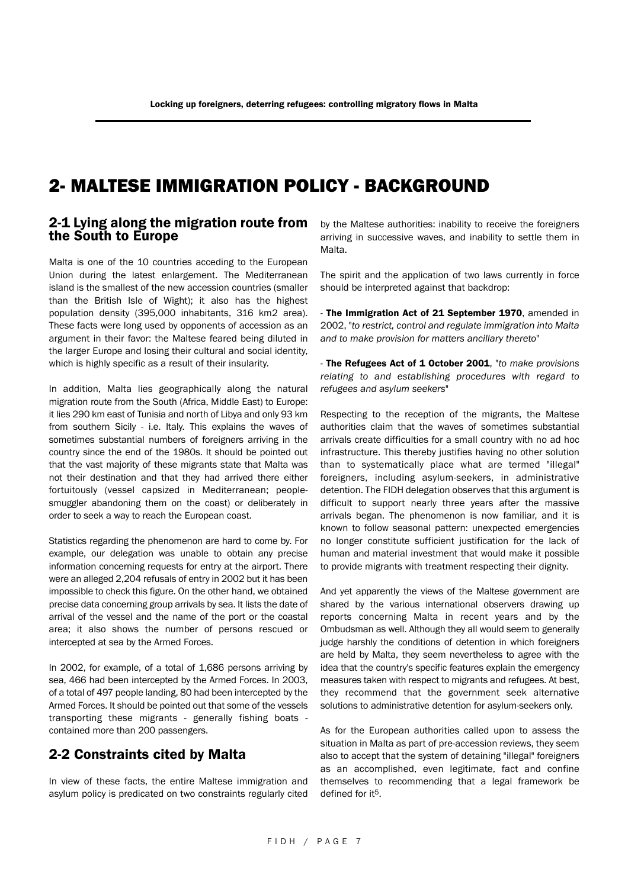## 2- MALTESE IMMIGRATION POLICY - BACKGROUND

#### 2-1 Lying along the migration route from the South to Europe

Malta is one of the 10 countries acceding to the European Union during the latest enlargement. The Mediterranean island is the smallest of the new accession countries (smaller than the British Isle of Wight); it also has the highest population density (395,000 inhabitants, 316 km2 area). These facts were long used by opponents of accession as an argument in their favor: the Maltese feared being diluted in the larger Europe and losing their cultural and social identity, which is highly specific as a result of their insularity.

In addition, Malta lies geographically along the natural migration route from the South (Africa, Middle East) to Europe: it lies 290 km east of Tunisia and north of Libya and only 93 km from southern Sicily - i.e. Italy. This explains the waves of sometimes substantial numbers of foreigners arriving in the country since the end of the 1980s. It should be pointed out that the vast majority of these migrants state that Malta was not their destination and that they had arrived there either fortuitously (vessel capsized in Mediterranean; peoplesmuggler abandoning them on the coast) or deliberately in order to seek a way to reach the European coast.

Statistics regarding the phenomenon are hard to come by. For example, our delegation was unable to obtain any precise information concerning requests for entry at the airport. There were an alleged 2,204 refusals of entry in 2002 but it has been impossible to check this figure. On the other hand, we obtained precise data concerning group arrivals by sea. It lists the date of arrival of the vessel and the name of the port or the coastal area; it also shows the number of persons rescued or intercepted at sea by the Armed Forces.

In 2002, for example, of a total of 1,686 persons arriving by sea, 466 had been intercepted by the Armed Forces. In 2003, of a total of 497 people landing, 80 had been intercepted by the Armed Forces. It should be pointed out that some of the vessels transporting these migrants - generally fishing boats contained more than 200 passengers.

## 2-2 Constraints cited by Malta

In view of these facts, the entire Maltese immigration and asylum policy is predicated on two constraints regularly cited

by the Maltese authorities: inability to receive the foreigners arriving in successive waves, and inability to settle them in Malta.

The spirit and the application of two laws currently in force should be interpreted against that backdrop:

- The Immigration Act of 21 September 1970, amended in 2002, "*to restrict, control and regulate immigration into Malta and to make provision for matters ancillary thereto*"

- The Refugees Act of 1 October 2001, "*to make provisions relating to and establishing procedures with regard to refugees and asylum seekers*"

Respecting to the reception of the migrants, the Maltese authorities claim that the waves of sometimes substantial arrivals create difficulties for a small country with no ad hoc infrastructure. This thereby justifies having no other solution than to systematically place what are termed "illegal" foreigners, including asylum-seekers, in administrative detention. The FIDH delegation observes that this argument is difficult to support nearly three years after the massive arrivals began. The phenomenon is now familiar, and it is known to follow seasonal pattern: unexpected emergencies no longer constitute sufficient justification for the lack of human and material investment that would make it possible to provide migrants with treatment respecting their dignity.

And yet apparently the views of the Maltese government are shared by the various international observers drawing up reports concerning Malta in recent years and by the Ombudsman as well. Although they all would seem to generally judge harshly the conditions of detention in which foreigners are held by Malta, they seem nevertheless to agree with the idea that the country's specific features explain the emergency measures taken with respect to migrants and refugees. At best, they recommend that the government seek alternative solutions to administrative detention for asylum-seekers only.

As for the European authorities called upon to assess the situation in Malta as part of pre-accession reviews, they seem also to accept that the system of detaining "illegal" foreigners as an accomplished, even legitimate, fact and confine themselves to recommending that a legal framework be defined for it5.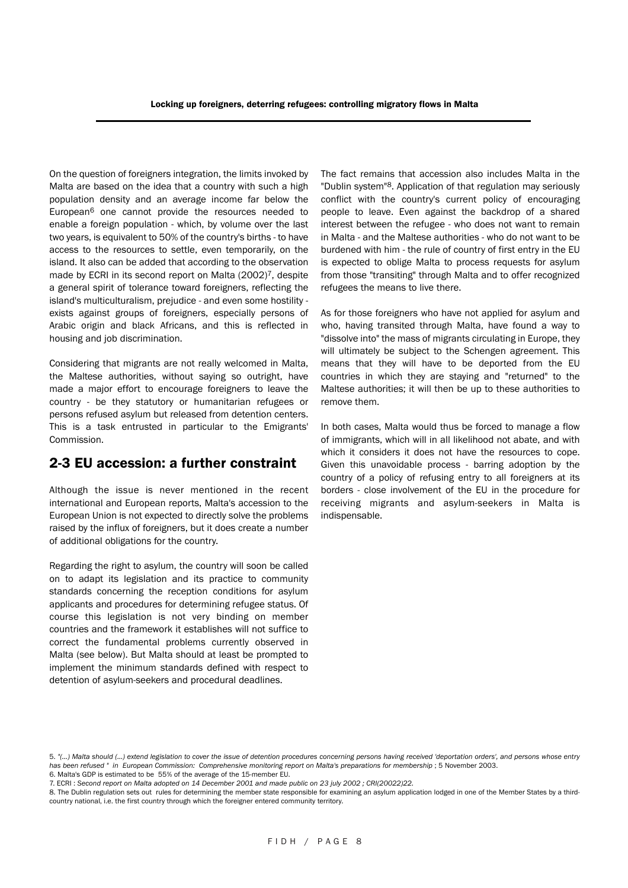On the question of foreigners integration, the limits invoked by Malta are based on the idea that a country with such a high population density and an average income far below the European6 one cannot provide the resources needed to enable a foreign population - which, by volume over the last two years, is equivalent to 50% of the country's births - to have access to the resources to settle, even temporarily, on the island. It also can be added that according to the observation made by ECRI in its second report on Malta (2002)<sup>7</sup>, despite a general spirit of tolerance toward foreigners, reflecting the island's multiculturalism, prejudice - and even some hostility exists against groups of foreigners, especially persons of Arabic origin and black Africans, and this is reflected in housing and job discrimination.

Considering that migrants are not really welcomed in Malta, the Maltese authorities, without saying so outright, have made a major effort to encourage foreigners to leave the country - be they statutory or humanitarian refugees or persons refused asylum but released from detention centers. This is a task entrusted in particular to the Emigrants' Commission.

## 2-3 EU accession: a further constraint

Although the issue is never mentioned in the recent international and European reports, Malta's accession to the European Union is not expected to directly solve the problems raised by the influx of foreigners, but it does create a number of additional obligations for the country.

Regarding the right to asylum, the country will soon be called on to adapt its legislation and its practice to community standards concerning the reception conditions for asylum applicants and procedures for determining refugee status. Of course this legislation is not very binding on member countries and the framework it establishes will not suffice to correct the fundamental problems currently observed in Malta (see below). But Malta should at least be prompted to implement the minimum standards defined with respect to detention of asylum-seekers and procedural deadlines.

The fact remains that accession also includes Malta in the "Dublin system"8. Application of that regulation may seriously conflict with the country's current policy of encouraging people to leave. Even against the backdrop of a shared interest between the refugee - who does not want to remain in Malta - and the Maltese authorities - who do not want to be burdened with him - the rule of country of first entry in the EU is expected to oblige Malta to process requests for asylum from those "transiting" through Malta and to offer recognized refugees the means to live there.

As for those foreigners who have not applied for asylum and who, having transited through Malta, have found a way to "dissolve into" the mass of migrants circulating in Europe, they will ultimately be subject to the Schengen agreement. This means that they will have to be deported from the EU countries in which they are staying and "returned" to the Maltese authorities; it will then be up to these authorities to remove them.

In both cases, Malta would thus be forced to manage a flow of immigrants, which will in all likelihood not abate, and with which it considers it does not have the resources to cope. Given this unavoidable process - barring adoption by the country of a policy of refusing entry to all foreigners at its borders - close involvement of the EU in the procedure for receiving migrants and asylum-seekers in Malta is indispensable.

<sup>5.</sup> *"(…) Malta should (…) extend legislation to cover the issue of detention procedures concerning persons having received 'deportation orders', and persons whose entry* has been refused " in European Commission: Comprehensive monitoring report on Malta's preparations for membership; 5 November 2003.

<sup>6.</sup> Malta's GDP is estimated to be 55% of the average of the 15-member EU.

<sup>7.</sup> ECRI : *Second report on Malta adopted on 14 December 2001 and made public on 23 july 2002 ; CRI(20022)22.*

<sup>8.</sup> The Dublin regulation sets out rules for determining the member state responsible for examining an asylum application lodged in one of the Member States by a thirdcountry national, i.e. the first country through which the foreigner entered community territory.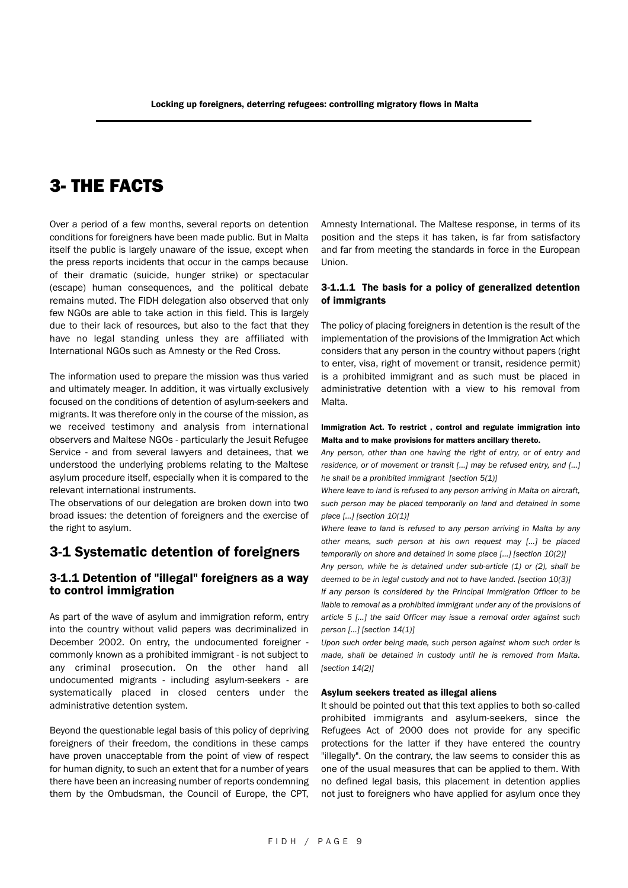## 3- THE FACTS

Over a period of a few months, several reports on detention conditions for foreigners have been made public. But in Malta itself the public is largely unaware of the issue, except when the press reports incidents that occur in the camps because of their dramatic (suicide, hunger strike) or spectacular (escape) human consequences, and the political debate remains muted. The FIDH delegation also observed that only few NGOs are able to take action in this field. This is largely due to their lack of resources, but also to the fact that they have no legal standing unless they are affiliated with International NGOs such as Amnesty or the Red Cross.

The information used to prepare the mission was thus varied and ultimately meager. In addition, it was virtually exclusively focused on the conditions of detention of asylum-seekers and migrants. It was therefore only in the course of the mission, as we received testimony and analysis from international observers and Maltese NGOs - particularly the Jesuit Refugee Service - and from several lawyers and detainees, that we understood the underlying problems relating to the Maltese asylum procedure itself, especially when it is compared to the relevant international instruments.

The observations of our delegation are broken down into two broad issues: the detention of foreigners and the exercise of the right to asylum.

#### 3-1 Systematic detention of foreigners

#### 3-1.1 Detention of "illegal" foreigners as a way to control immigration

As part of the wave of asylum and immigration reform, entry into the country without valid papers was decriminalized in December 2002. On entry, the undocumented foreigner commonly known as a prohibited immigrant - is not subject to any criminal prosecution. On the other hand all undocumented migrants - including asylum-seekers - are systematically placed in closed centers under the administrative detention system.

Beyond the questionable legal basis of this policy of depriving foreigners of their freedom, the conditions in these camps have proven unacceptable from the point of view of respect for human dignity, to such an extent that for a number of years there have been an increasing number of reports condemning them by the Ombudsman, the Council of Europe, the CPT, Amnesty International. The Maltese response, in terms of its position and the steps it has taken, is far from satisfactory and far from meeting the standards in force in the European Union.

#### 3-1.1.1 The basis for a policy of generalized detention of immigrants

The policy of placing foreigners in detention is the result of the implementation of the provisions of the Immigration Act which considers that any person in the country without papers (right to enter, visa, right of movement or transit, residence permit) is a prohibited immigrant and as such must be placed in administrative detention with a view to his removal from Malta.

#### Immigration Act. To restrict , control and regulate immigration into Malta and to make provisions for matters ancillary thereto.

*Any person, other than one having the right of entry, or of entry and residence, or of movement or transit […] may be refused entry, and […] he shall be a prohibited immigrant [section 5(1)]*

*Where leave to land is refused to any person arriving in Malta on aircraft, such person may be placed temporarily on land and detained in some place […] [section 10(1)]*

*Where leave to land is refused to any person arriving in Malta by any other means, such person at his own request may […] be placed temporarily on shore and detained in some place […] [section 10(2)]*

*Any person, while he is detained under sub-article (1) or (2), shall be deemed to be in legal custody and not to have landed. [section 10(3)]*

*If any person is considered by the Principal Immigration Officer to be liable to removal as a prohibited immigrant under any of the provisions of article 5 […] the said Officer may issue a removal order against such person […] [section 14(1)]*

*Upon such order being made, such person against whom such order is made, shall be detained in custody until he is removed from Malta. [section 14(2)]*

#### Asylum seekers treated as illegal aliens

It should be pointed out that this text applies to both so-called prohibited immigrants and asylum-seekers, since the Refugees Act of 2000 does not provide for any specific protections for the latter if they have entered the country "illegally". On the contrary, the law seems to consider this as one of the usual measures that can be applied to them. With no defined legal basis, this placement in detention applies not just to foreigners who have applied for asylum once they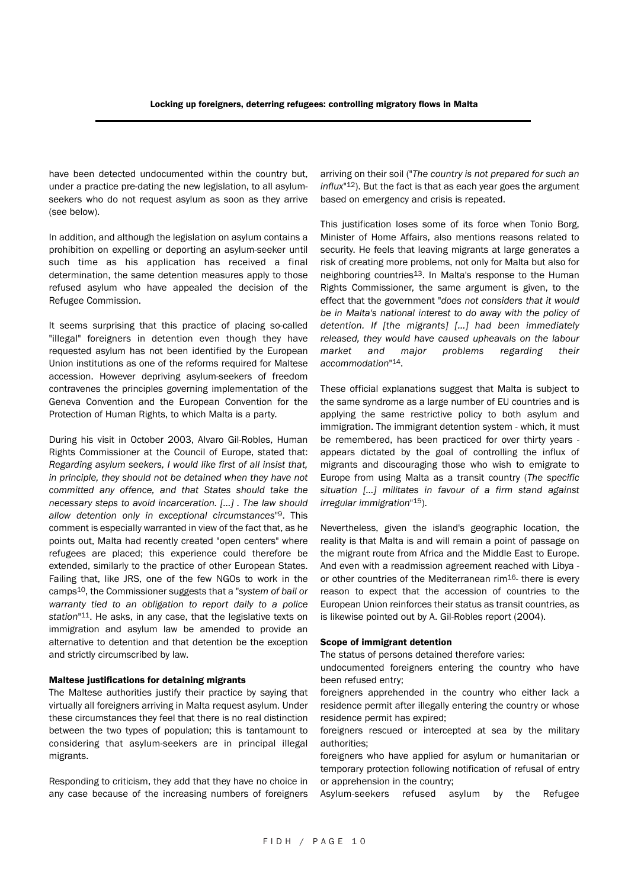have been detected undocumented within the country but, under a practice pre-dating the new legislation, to all asylumseekers who do not request asylum as soon as they arrive (see below).

In addition, and although the legislation on asylum contains a prohibition on expelling or deporting an asylum-seeker until such time as his application has received a final determination, the same detention measures apply to those refused asylum who have appealed the decision of the Refugee Commission.

It seems surprising that this practice of placing so-called "illegal" foreigners in detention even though they have requested asylum has not been identified by the European Union institutions as one of the reforms required for Maltese accession. However depriving asylum-seekers of freedom contravenes the principles governing implementation of the Geneva Convention and the European Convention for the Protection of Human Rights, to which Malta is a party.

During his visit in October 2003, Alvaro Gil-Robles, Human Rights Commissioner at the Council of Europe, stated that: *Regarding asylum seekers, I would like first of all insist that, in principle, they should not be detained when they have not committed any offence, and that States should take the necessary steps to avoid incarceration. […] . The law should allow detention only in exceptional circumstances*"9. This comment is especially warranted in view of the fact that, as he points out, Malta had recently created "open centers" where refugees are placed; this experience could therefore be extended, similarly to the practice of other European States. Failing that, like JRS, one of the few NGOs to work in the camps10, the Commissioner suggests that a "*system of bail or warranty tied to an obligation to report daily to a police station*"11. He asks, in any case, that the legislative texts on immigration and asylum law be amended to provide an alternative to detention and that detention be the exception and strictly circumscribed by law.

#### Maltese justifications for detaining migrants

The Maltese authorities justify their practice by saying that virtually all foreigners arriving in Malta request asylum. Under these circumstances they feel that there is no real distinction between the two types of population; this is tantamount to considering that asylum-seekers are in principal illegal migrants.

Responding to criticism, they add that they have no choice in any case because of the increasing numbers of foreigners arriving on their soil ("*The country is not prepared for such an influx*"12). But the fact is that as each year goes the argument based on emergency and crisis is repeated.

This justification loses some of its force when Tonio Borg, Minister of Home Affairs, also mentions reasons related to security. He feels that leaving migrants at large generates a risk of creating more problems, not only for Malta but also for neighboring countries<sup>13</sup>. In Malta's response to the Human Rights Commissioner, the same argument is given, to the effect that the government "*does not considers that it would be in Malta's national interest to do away with the policy of detention. If [the migrants] […] had been immediately released, they would have caused upheavals on the labour market and major problems regarding their accommodation*"14.

These official explanations suggest that Malta is subject to the same syndrome as a large number of EU countries and is applying the same restrictive policy to both asylum and immigration. The immigrant detention system - which, it must be remembered, has been practiced for over thirty years appears dictated by the goal of controlling the influx of migrants and discouraging those who wish to emigrate to Europe from using Malta as a transit country (*The specific situation […] militates in favour of a firm stand against irregular immigration*"15).

Nevertheless, given the island's geographic location, the reality is that Malta is and will remain a point of passage on the migrant route from Africa and the Middle East to Europe. And even with a readmission agreement reached with Libya or other countries of the Mediterranean rim<sup>16</sup>- there is every reason to expect that the accession of countries to the European Union reinforces their status as transit countries, as is likewise pointed out by A. Gil-Robles report (2004).

#### Scope of immigrant detention

The status of persons detained therefore varies:

undocumented foreigners entering the country who have been refused entry;

foreigners apprehended in the country who either lack a residence permit after illegally entering the country or whose residence permit has expired;

foreigners rescued or intercepted at sea by the military authorities;

foreigners who have applied for asylum or humanitarian or temporary protection following notification of refusal of entry or apprehension in the country;

Asylum-seekers refused asylum by the Refugee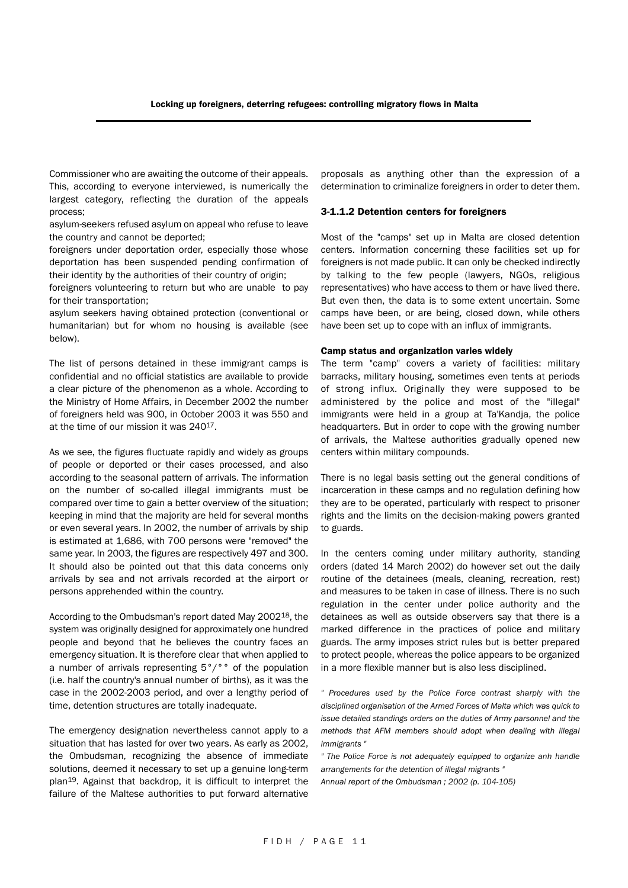Commissioner who are awaiting the outcome of their appeals. This, according to everyone interviewed, is numerically the largest category, reflecting the duration of the appeals process;

asylum-seekers refused asylum on appeal who refuse to leave the country and cannot be deported;

foreigners under deportation order, especially those whose deportation has been suspended pending confirmation of their identity by the authorities of their country of origin;

foreigners volunteering to return but who are unable to pay for their transportation;

asylum seekers having obtained protection (conventional or humanitarian) but for whom no housing is available (see below).

The list of persons detained in these immigrant camps is confidential and no official statistics are available to provide a clear picture of the phenomenon as a whole. According to the Ministry of Home Affairs, in December 2002 the number of foreigners held was 900, in October 2003 it was 550 and at the time of our mission it was 24017.

As we see, the figures fluctuate rapidly and widely as groups of people or deported or their cases processed, and also according to the seasonal pattern of arrivals. The information on the number of so-called illegal immigrants must be compared over time to gain a better overview of the situation; keeping in mind that the majority are held for several months or even several years. In 2002, the number of arrivals by ship is estimated at 1,686, with 700 persons were "removed" the same year. In 2003, the figures are respectively 497 and 300. It should also be pointed out that this data concerns only arrivals by sea and not arrivals recorded at the airport or persons apprehended within the country.

According to the Ombudsman's report dated May 200218, the system was originally designed for approximately one hundred people and beyond that he believes the country faces an emergency situation. It is therefore clear that when applied to a number of arrivals representing 5°/°° of the population (i.e. half the country's annual number of births), as it was the case in the 2002-2003 period, and over a lengthy period of time, detention structures are totally inadequate.

The emergency designation nevertheless cannot apply to a situation that has lasted for over two years. As early as 2002, the Ombudsman, recognizing the absence of immediate solutions, deemed it necessary to set up a genuine long-term plan19. Against that backdrop, it is difficult to interpret the failure of the Maltese authorities to put forward alternative proposals as anything other than the expression of a determination to criminalize foreigners in order to deter them.

#### 3-1.1.2 Detention centers for foreigners

Most of the "camps" set up in Malta are closed detention centers. Information concerning these facilities set up for foreigners is not made public. It can only be checked indirectly by talking to the few people (lawyers, NGOs, religious representatives) who have access to them or have lived there. But even then, the data is to some extent uncertain. Some camps have been, or are being, closed down, while others have been set up to cope with an influx of immigrants.

#### Camp status and organization varies widely

The term "camp" covers a variety of facilities: military barracks, military housing, sometimes even tents at periods of strong influx. Originally they were supposed to be administered by the police and most of the "illegal" immigrants were held in a group at Ta'Kandja, the police headquarters. But in order to cope with the growing number of arrivals, the Maltese authorities gradually opened new centers within military compounds.

There is no legal basis setting out the general conditions of incarceration in these camps and no regulation defining how they are to be operated, particularly with respect to prisoner rights and the limits on the decision-making powers granted to guards.

In the centers coming under military authority, standing orders (dated 14 March 2002) do however set out the daily routine of the detainees (meals, cleaning, recreation, rest) and measures to be taken in case of illness. There is no such regulation in the center under police authority and the detainees as well as outside observers say that there is a marked difference in the practices of police and military guards. The army imposes strict rules but is better prepared to protect people, whereas the police appears to be organized in a more flexible manner but is also less disciplined.

*" Procedures used by the Police Force contrast sharply with the disciplined organisation of the Armed Forces of Malta which was quick to issue detailed standings orders on the duties of Army parsonnel and the methods that AFM members should adopt when dealing with illegal immigrants "*

*" The Police Force is not adequately equipped to organize anh handle arrangements for the detention of illegal migrants "*

*Annual report of the Ombudsman ; 2002 (p. 104-105)*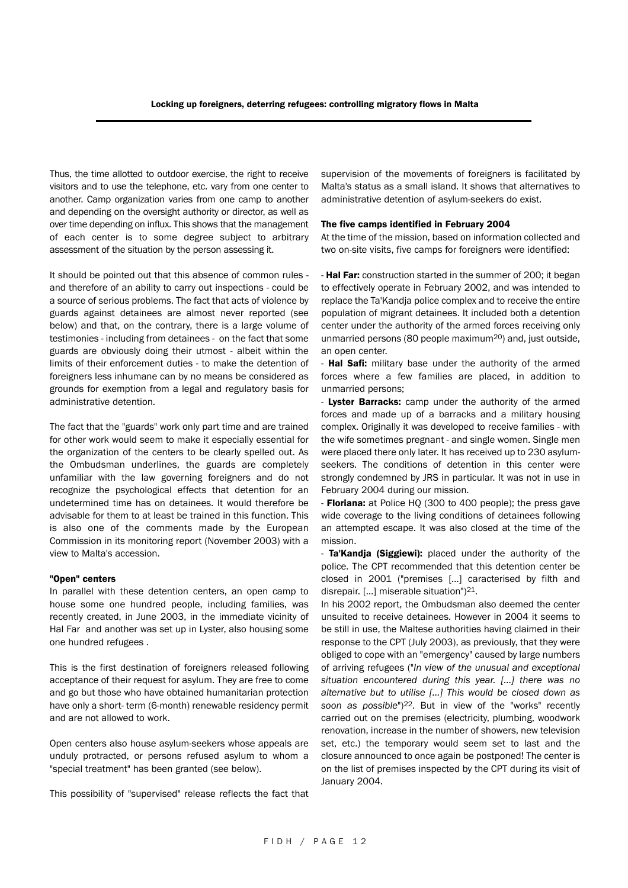Thus, the time allotted to outdoor exercise, the right to receive visitors and to use the telephone, etc. vary from one center to another. Camp organization varies from one camp to another and depending on the oversight authority or director, as well as over time depending on influx. This shows that the management of each center is to some degree subject to arbitrary assessment of the situation by the person assessing it.

It should be pointed out that this absence of common rules and therefore of an ability to carry out inspections - could be a source of serious problems. The fact that acts of violence by guards against detainees are almost never reported (see below) and that, on the contrary, there is a large volume of testimonies - including from detainees - on the fact that some guards are obviously doing their utmost - albeit within the limits of their enforcement duties - to make the detention of foreigners less inhumane can by no means be considered as grounds for exemption from a legal and regulatory basis for administrative detention.

The fact that the "guards" work only part time and are trained for other work would seem to make it especially essential for the organization of the centers to be clearly spelled out. As the Ombudsman underlines, the guards are completely unfamiliar with the law governing foreigners and do not recognize the psychological effects that detention for an undetermined time has on detainees. It would therefore be advisable for them to at least be trained in this function. This is also one of the comments made by the European Commission in its monitoring report (November 2003) with a view to Malta's accession.

#### "Open" centers

In parallel with these detention centers, an open camp to house some one hundred people, including families, was recently created, in June 2003, in the immediate vicinity of Hal Far and another was set up in Lyster, also housing some one hundred refugees .

This is the first destination of foreigners released following acceptance of their request for asylum. They are free to come and go but those who have obtained humanitarian protection have only a short- term (6-month) renewable residency permit and are not allowed to work.

Open centers also house asylum-seekers whose appeals are unduly protracted, or persons refused asylum to whom a "special treatment" has been granted (see below).

This possibility of "supervised" release reflects the fact that

supervision of the movements of foreigners is facilitated by Malta's status as a small island. It shows that alternatives to administrative detention of asylum-seekers do exist.

#### The five camps identified in February 2004

At the time of the mission, based on information collected and two on-site visits, five camps for foreigners were identified:

- Hal Far: construction started in the summer of 200; it began to effectively operate in February 2002, and was intended to replace the Ta'Kandja police complex and to receive the entire population of migrant detainees. It included both a detention center under the authority of the armed forces receiving only unmarried persons (80 people maximum20) and, just outside, an open center.

- Hal Safi: military base under the authority of the armed forces where a few families are placed, in addition to unmarried persons;

- Lyster Barracks: camp under the authority of the armed forces and made up of a barracks and a military housing complex. Originally it was developed to receive families - with the wife sometimes pregnant - and single women. Single men were placed there only later. It has received up to 230 asylumseekers. The conditions of detention in this center were strongly condemned by JRS in particular. It was not in use in February 2004 during our mission.

- Floriana: at Police HQ (300 to 400 people); the press gave wide coverage to the living conditions of detainees following an attempted escape. It was also closed at the time of the mission.

- Ta'Kandja (Siggiewi): placed under the authority of the police. The CPT recommended that this detention center be closed in 2001 ("premises […] caracterised by filth and disrepair. […] miserable situation")21.

In his 2002 report, the Ombudsman also deemed the center unsuited to receive detainees. However in 2004 it seems to be still in use, the Maltese authorities having claimed in their response to the CPT (July 2003), as previously, that they were obliged to cope with an "emergency" caused by large numbers of arriving refugees ("*In view of the unusual and exceptional situation encountered during this year. […] there was no alternative but to utilise […] This would be closed down as* soon as possible")<sup>22</sup>. But in view of the "works" recently carried out on the premises (electricity, plumbing, woodwork renovation, increase in the number of showers, new television set, etc.) the temporary would seem set to last and the closure announced to once again be postponed! The center is on the list of premises inspected by the CPT during its visit of January 2004.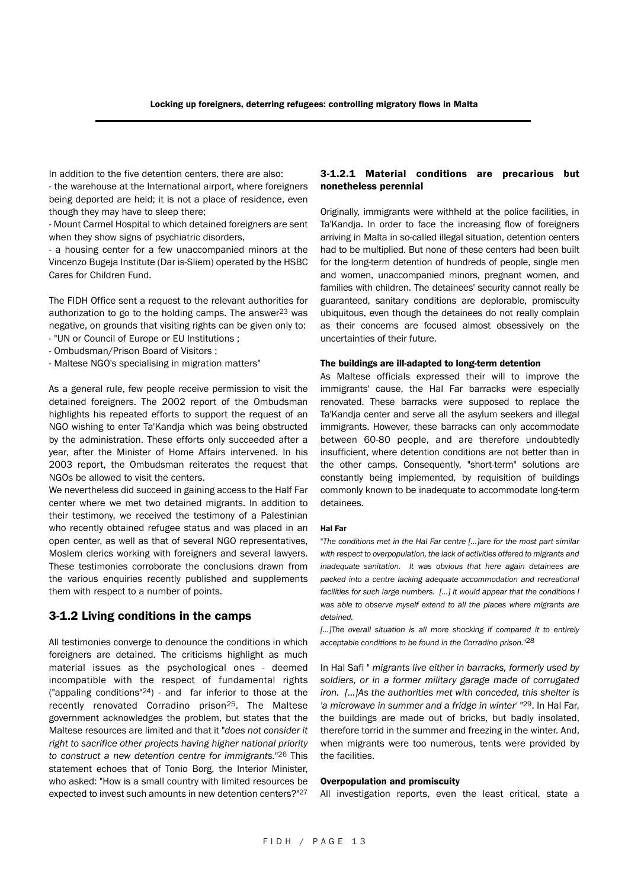In addition to the five detention centers, there are also: - the warehouse at the International airport, where foreigners being deported are held; it is not a place of residence, even though they may have to sleep there;

- Mount Carmel Hospital to which detained foreigners are sent when they show signs of psychiatric disorders,

- a housing center for a few unaccompanied minors at the Vincenzo Bugeja Institute (Dar is-Sliem) operated by the HSBC Cares for Children Fund.

The FIDH Office sent a request to the relevant authorities for authorization to go to the holding camps. The answer<sup>23</sup> was negative, on grounds that visiting rights can be given only to:

- "UN or Council of Europe or EU Institutions ; - Ombudsman/Prison Board of Visitors ;
- Maltese NGO's specialising in migration matters"

As a general rule, few people receive permission to visit the detained foreigners. The 2002 report of the Ombudsman highlights his repeated efforts to support the request of an NGO wishing to enter Ta'Kandja which was being obstructed by the administration. These efforts only succeeded after a year, after the Minister of Home Affairs intervened. In his 2003 report, the Ombudsman reiterates the request that NGOs be allowed to visit the centers.

We nevertheless did succeed in gaining access to the Half Far center where we met two detained migrants. In addition to their testimony, we received the testimony of a Palestinian who recently obtained refugee status and was placed in an open center, as well as that of several NGO representatives, Moslem clerics working with foreigners and several lawyers. These testimonies corroborate the conclusions drawn from the various enquiries recently published and supplements them with respect to a number of points.

#### 3-1.2 Living conditions in the camps

All testimonies converge to denounce the conditions in which foreigners are detained. The criticisms highlight as much material issues as the psychological ones - deemed incompatible with the respect of fundamental rights ("appaling conditions" $24$ ) - and far inferior to those at the recently renovated Corradino prison<sup>25</sup>. The Maltese government acknowledges the problem, but states that the Maltese resources are limited and that it "*does not consider it right to sacrifice other projects having higher national priority to construct a new detention centre for immigrants.*"26 This statement echoes that of Tonio Borg, the Interior Minister, who asked: "How is a small country with limited resources be expected to invest such amounts in new detention centers?"27

#### 3-1.2.1 Material conditions are precarious but nonetheless perennial

Originally, immigrants were withheld at the police facilities, in Ta'Kandja. In order to face the increasing flow of foreigners arriving in Malta in so-called illegal situation, detention centers had to be multiplied. But none of these centers had been built for the long-term detention of hundreds of people, single men and women, unaccompanied minors, pregnant women, and families with children. The detainees' security cannot really be guaranteed, sanitary conditions are deplorable, promiscuity ubiquitous, even though the detainees do not really complain as their concerns are focused almost obsessively on the uncertainties of their future.

#### The buildings are ill-adapted to long-term detention

As Maltese officials expressed their will to improve the immigrants' cause, the Hal Far barracks were especially renovated. These barracks were supposed to replace the Ta'Kandja center and serve all the asylum seekers and illegal immigrants. However, these barracks can only accommodate between 60-80 people, and are therefore undoubtedly insufficient, where detention conditions are not better than in the other camps. Consequently, "short-term" solutions are constantly being implemented, by requisition of buildings commonly known to be inadequate to accommodate long-term detainees.

#### Hal Far

"*The conditions met in the Hal Far centre […]are for the most part similar with respect to overpopulation, the lack of activities offered to migrants and inadequate sanitation. It was obvious that here again detainees are packed into a centre lacking adequate accommodation and recreational facilities for such large numbers. […] It would appear that the conditions I was able to observe myself extend to all the places where migrants are detained.* 

*[…]The overall situation is all more shocking if compared it to entirely acceptable conditions to be found in the Corradino prison.*"28

In Hal Safi " *migrants live either in barracks, formerly used by soldiers, or in a former military garage made of corrugated iron. […]As the authorities met with conceded, this shelter is 'a microwave in summer and a fridge in winter'* "29. In Hal Far, the buildings are made out of bricks, but badly insolated, therefore torrid in the summer and freezing in the winter. And, when migrants were too numerous, tents were provided by the facilities.

#### Overpopulation and promiscuity

All investigation reports, even the least critical, state a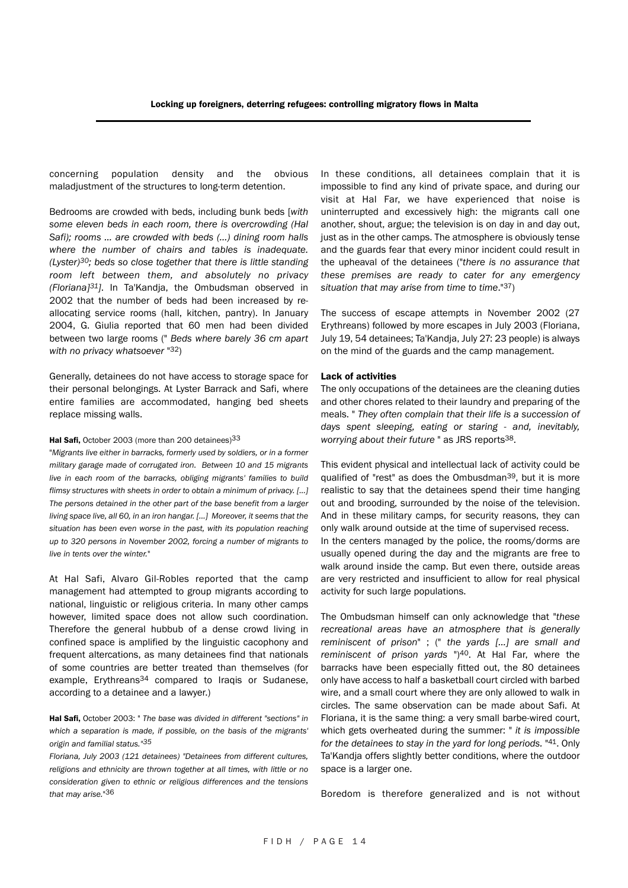concerning population density and the obvious maladjustment of the structures to long-term detention.

Bedrooms are crowded with beds, including bunk beds [*with some eleven beds in each room, there is overcrowding (Hal Safi); rooms … are crowded with beds (…) dining room halls where the number of chairs and tables is inadequate. (Lyster)30; beds so close together that there is little standing room left between them, and absolutely no privacy (Floriana]31]*. In Ta'Kandja, the Ombudsman observed in 2002 that the number of beds had been increased by reallocating service rooms (hall, kitchen, pantry). In January 2004, G. Giulia reported that 60 men had been divided between two large rooms (" *Beds where barely 36 cm apart with no privacy whatsoever* "32)

Generally, detainees do not have access to storage space for their personal belongings. At Lyster Barrack and Safi, where entire families are accommodated, hanging bed sheets replace missing walls.

#### Hal Safi, October 2003 (more than 200 detainees)<sup>33</sup>

"*Migrants live either in barracks, formerly used by soldiers, or in a former military garage made of corrugated iron. Between 10 and 15 migrants live in each room of the barracks, obliging migrants' families to build flimsy structures with sheets in order to obtain a minimum of privacy. […] The persons detained in the other part of the base benefit from a larger living space live, all 60, in an iron hangar. […] Moreover, it seems that the situation has been even worse in the past, with its population reaching up to 320 persons in November 2002, forcing a number of migrants to live in tents over the winter.*"

At Hal Safi, Alvaro Gil-Robles reported that the camp management had attempted to group migrants according to national, linguistic or religious criteria. In many other camps however, limited space does not allow such coordination. Therefore the general hubbub of a dense crowd living in confined space is amplified by the linguistic cacophony and frequent altercations, as many detainees find that nationals of some countries are better treated than themselves (for example. Erythreans<sup>34</sup> compared to Iraqis or Sudanese. according to a detainee and a lawyer.)

Hal Safi, October 2003: " *The base was divided in different "sections" in which a separation is made, if possible, on the basis of the migrants' origin and familial status."35*

*Floriana, July 2003 (121 detainees) "Detainees from different cultures, religions and ethnicity are thrown together at all times, with little or no consideration given to ethnic or religious differences and the tensions that may arise.*"36

In these conditions, all detainees complain that it is impossible to find any kind of private space, and during our visit at Hal Far, we have experienced that noise is uninterrupted and excessively high: the migrants call one another, shout, argue; the television is on day in and day out, just as in the other camps. The atmosphere is obviously tense and the guards fear that every minor incident could result in the upheaval of the detainees ("*there is no assurance that these premises are ready to cater for any emergency situation that may arise from time to time*."37)

The success of escape attempts in November 2002 (27 Erythreans) followed by more escapes in July 2003 (Floriana, July 19, 54 detainees; Ta'Kandja, July 27: 23 people) is always on the mind of the guards and the camp management.

#### Lack of activities

The only occupations of the detainees are the cleaning duties and other chores related to their laundry and preparing of the meals. " *They often complain that their life is a succession of days spent sleeping, eating or staring - and, inevitably, worrying about their future* " as JRS reports38.

This evident physical and intellectual lack of activity could be qualified of "rest" as does the Ombusdman39, but it is more realistic to say that the detainees spend their time hanging out and brooding, surrounded by the noise of the television. And in these military camps, for security reasons, they can only walk around outside at the time of supervised recess. In the centers managed by the police, the rooms/dorms are usually opened during the day and the migrants are free to walk around inside the camp. But even there, outside areas are very restricted and insufficient to allow for real physical activity for such large populations.

The Ombudsman himself can only acknowledge that "*these recreational areas have an atmosphere that is generally reminiscent of prison*" ; (" *the yards […] are small and reminiscent of prison yards* ")40. At Hal Far, where the barracks have been especially fitted out, the 80 detainees only have access to half a basketball court circled with barbed wire, and a small court where they are only allowed to walk in circles. The same observation can be made about Safi. At Floriana, it is the same thing: a very small barbe-wired court, which gets overheated during the summer: " *it is impossible for the detainees to stay in the yard for long periods.* "41. Only Ta'Kandja offers slightly better conditions, where the outdoor space is a larger one.

Boredom is therefore generalized and is not without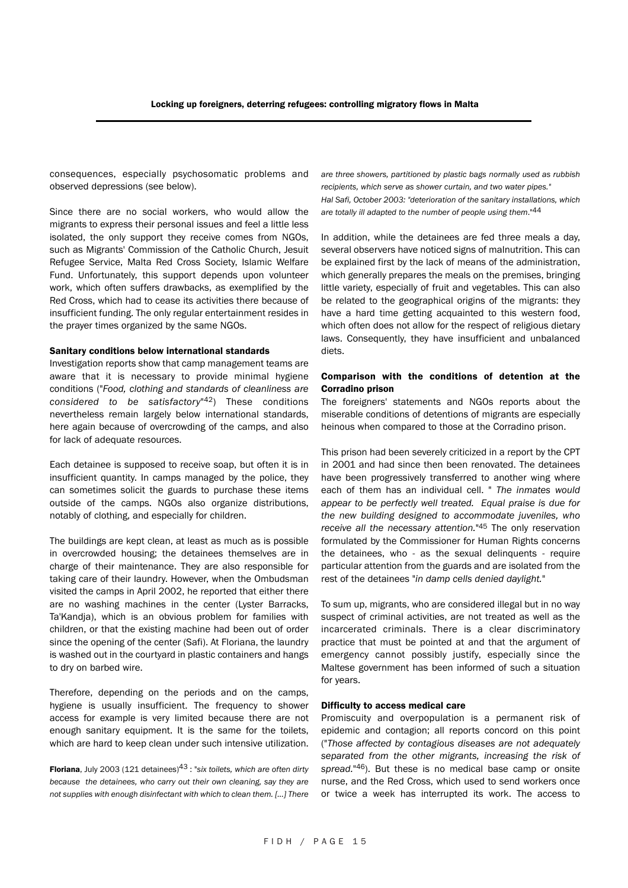consequences, especially psychosomatic problems and observed depressions (see below).

Since there are no social workers, who would allow the migrants to express their personal issues and feel a little less isolated, the only support they receive comes from NGOs, such as Migrants' Commission of the Catholic Church, Jesuit Refugee Service, Malta Red Cross Society, Islamic Welfare Fund. Unfortunately, this support depends upon volunteer work, which often suffers drawbacks, as exemplified by the Red Cross, which had to cease its activities there because of insufficient funding. The only regular entertainment resides in the prayer times organized by the same NGOs.

#### Sanitary conditions below international standards

Investigation reports show that camp management teams are aware that it is necessary to provide minimal hygiene conditions ("*Food, clothing and standards of cleanliness are considered to be satisfactory*"42) These conditions nevertheless remain largely below international standards, here again because of overcrowding of the camps, and also for lack of adequate resources.

Each detainee is supposed to receive soap, but often it is in insufficient quantity. In camps managed by the police, they can sometimes solicit the guards to purchase these items outside of the camps. NGOs also organize distributions, notably of clothing, and especially for children.

The buildings are kept clean, at least as much as is possible in overcrowded housing; the detainees themselves are in charge of their maintenance. They are also responsible for taking care of their laundry. However, when the Ombudsman visited the camps in April 2002, he reported that either there are no washing machines in the center (Lyster Barracks, Ta'Kandja), which is an obvious problem for families with children, or that the existing machine had been out of order since the opening of the center (Safi). At Floriana, the laundry is washed out in the courtyard in plastic containers and hangs to dry on barbed wire.

Therefore, depending on the periods and on the camps, hygiene is usually insufficient. The frequency to shower access for example is very limited because there are not enough sanitary equipment. It is the same for the toilets, which are hard to keep clean under such intensive utilization.

Floriana, July 2003 (121 detainees)43 : "*six toilets, which are often dirty because the detainees, who carry out their own cleaning, say they are not supplies with enough disinfectant with which to clean them. […] There* *are three showers, partitioned by plastic bags normally used as rubbish recipients, which serve as shower curtain, and two water pipes." Hal Safi, October 2003: "deterioration of the sanitary installations, which are totally ill adapted to the number of people using them*."44

In addition, while the detainees are fed three meals a day, several observers have noticed signs of malnutrition. This can be explained first by the lack of means of the administration, which generally prepares the meals on the premises, bringing little variety, especially of fruit and vegetables. This can also be related to the geographical origins of the migrants: they have a hard time getting acquainted to this western food, which often does not allow for the respect of religious dietary laws. Consequently, they have insufficient and unbalanced diets.

#### Comparison with the conditions of detention at the Corradino prison

The foreigners' statements and NGOs reports about the miserable conditions of detentions of migrants are especially heinous when compared to those at the Corradino prison.

This prison had been severely criticized in a report by the CPT in 2001 and had since then been renovated. The detainees have been progressively transferred to another wing where each of them has an individual cell. " *The inmates would appear to be perfectly well treated. Equal praise is due for the new building designed to accommodate juveniles, who receive all the necessary attention.*"45 The only reservation formulated by the Commissioner for Human Rights concerns the detainees, who - as the sexual delinquents - require particular attention from the guards and are isolated from the rest of the detainees "*in damp cells denied daylight.*"

To sum up, migrants, who are considered illegal but in no way suspect of criminal activities, are not treated as well as the incarcerated criminals. There is a clear discriminatory practice that must be pointed at and that the argument of emergency cannot possibly justify, especially since the Maltese government has been informed of such a situation for years.

#### Difficulty to access medical care

Promiscuity and overpopulation is a permanent risk of epidemic and contagion; all reports concord on this point ("*Those affected by contagious diseases are not adequately separated from the other migrants, increasing the risk of spread.*"46). But these is no medical base camp or onsite nurse, and the Red Cross, which used to send workers once or twice a week has interrupted its work. The access to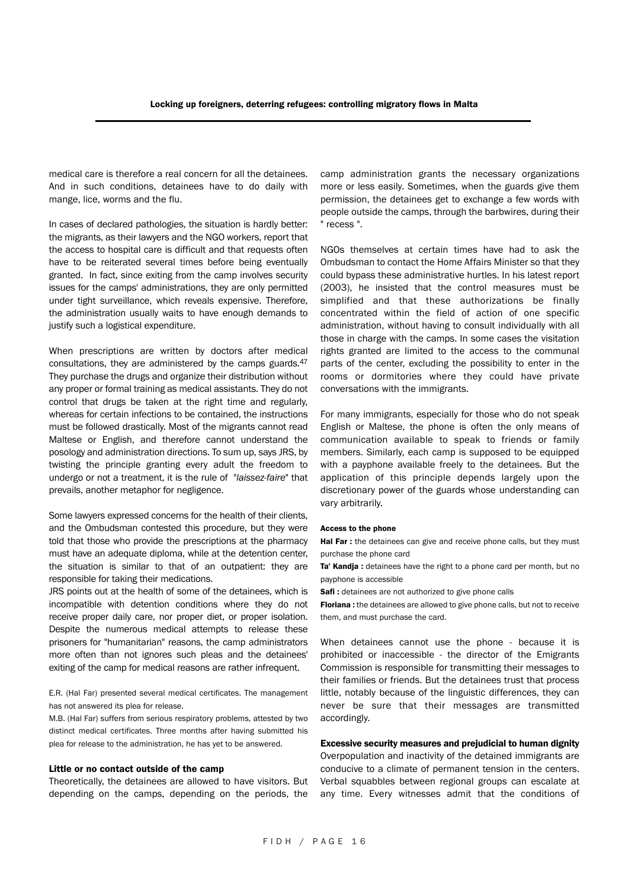medical care is therefore a real concern for all the detainees. And in such conditions, detainees have to do daily with mange, lice, worms and the flu.

In cases of declared pathologies, the situation is hardly better: the migrants, as their lawyers and the NGO workers, report that the access to hospital care is difficult and that requests often have to be reiterated several times before being eventually granted. In fact, since exiting from the camp involves security issues for the camps' administrations, they are only permitted under tight surveillance, which reveals expensive. Therefore, the administration usually waits to have enough demands to justify such a logistical expenditure.

When prescriptions are written by doctors after medical consultations, they are administered by the camps guards.47 They purchase the drugs and organize their distribution without any proper or formal training as medical assistants. They do not control that drugs be taken at the right time and regularly, whereas for certain infections to be contained, the instructions must be followed drastically. Most of the migrants cannot read Maltese or English, and therefore cannot understand the posology and administration directions. To sum up, says JRS, by twisting the principle granting every adult the freedom to undergo or not a treatment, it is the rule of "*laissez-faire*" that prevails, another metaphor for negligence.

Some lawyers expressed concerns for the health of their clients, and the Ombudsman contested this procedure, but they were told that those who provide the prescriptions at the pharmacy must have an adequate diploma, while at the detention center, the situation is similar to that of an outpatient: they are responsible for taking their medications.

JRS points out at the health of some of the detainees, which is incompatible with detention conditions where they do not receive proper daily care, nor proper diet, or proper isolation. Despite the numerous medical attempts to release these prisoners for "humanitarian" reasons, the camp administrators more often than not ignores such pleas and the detainees' exiting of the camp for medical reasons are rather infrequent.

E.R. (Hal Far) presented several medical certificates. The management has not answered its plea for release.

M.B. (Hal Far) suffers from serious respiratory problems, attested by two distinct medical certificates. Three months after having submitted his plea for release to the administration, he has yet to be answered.

#### Little or no contact outside of the camp

Theoretically, the detainees are allowed to have visitors. But depending on the camps, depending on the periods, the

camp administration grants the necessary organizations more or less easily. Sometimes, when the guards give them permission, the detainees get to exchange a few words with people outside the camps, through the barbwires, during their " recess ".

NGOs themselves at certain times have had to ask the Ombudsman to contact the Home Affairs Minister so that they could bypass these administrative hurtles. In his latest report (2003), he insisted that the control measures must be simplified and that these authorizations be finally concentrated within the field of action of one specific administration, without having to consult individually with all those in charge with the camps. In some cases the visitation rights granted are limited to the access to the communal parts of the center, excluding the possibility to enter in the rooms or dormitories where they could have private conversations with the immigrants.

For many immigrants, especially for those who do not speak English or Maltese, the phone is often the only means of communication available to speak to friends or family members. Similarly, each camp is supposed to be equipped with a payphone available freely to the detainees. But the application of this principle depends largely upon the discretionary power of the guards whose understanding can vary arbitrarily.

#### Access to the phone

Hal Far : the detainees can give and receive phone calls, but they must purchase the phone card

Ta' Kandja : detainees have the right to a phone card per month, but no payphone is accessible

Safi : detainees are not authorized to give phone calls

Floriana : the detainees are allowed to give phone calls, but not to receive them, and must purchase the card.

When detainees cannot use the phone - because it is prohibited or inaccessible - the director of the Emigrants Commission is responsible for transmitting their messages to their families or friends. But the detainees trust that process little, notably because of the linguistic differences, they can never be sure that their messages are transmitted accordingly.

#### Excessive security measures and prejudicial to human dignity

Overpopulation and inactivity of the detained immigrants are conducive to a climate of permanent tension in the centers. Verbal squabbles between regional groups can escalate at any time. Every witnesses admit that the conditions of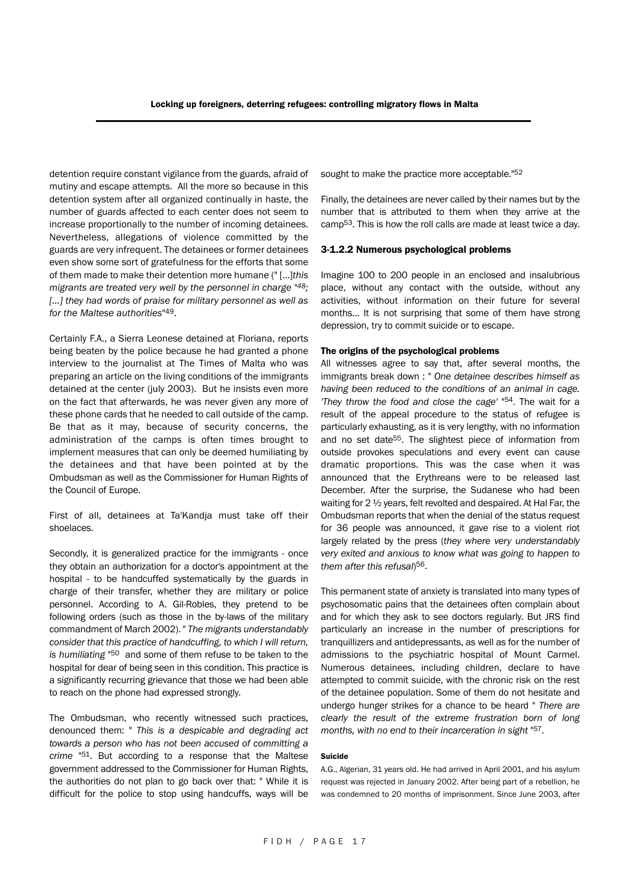detention require constant vigilance from the guards, afraid of mutiny and escape attempts. All the more so because in this detention system after all organized continually in haste, the number of guards affected to each center does not seem to increase proportionally to the number of incoming detainees. Nevertheless, allegations of violence committed by the guards are very infrequent. The detainees or former detainees even show some sort of gratefulness for the efforts that some of them made to make their detention more humane (" […]*this migrants are treated very well by the personnel in charge "48; […] they had words of praise for military personnel as well as for the Maltese authorities*"49.

Certainly F.A., a Sierra Leonese detained at Floriana, reports being beaten by the police because he had granted a phone interview to the journalist at The Times of Malta who was preparing an article on the living conditions of the immigrants detained at the center (july 2003). But he insists even more on the fact that afterwards, he was never given any more of these phone cards that he needed to call outside of the camp. Be that as it may, because of security concerns, the administration of the camps is often times brought to implement measures that can only be deemed humiliating by the detainees and that have been pointed at by the Ombudsman as well as the Commissioner for Human Rights of the Council of Europe.

First of all, detainees at Ta'Kandja must take off their shoelaces.

Secondly, it is generalized practice for the immigrants - once they obtain an authorization for a doctor's appointment at the hospital - to be handcuffed systematically by the guards in charge of their transfer, whether they are military or police personnel. According to A. Gil-Robles, they pretend to be following orders (such as those in the by-laws of the military commandment of March 2002). " *The migrants understandably consider that this practice of handcuffing, to which I will return, is humiliating* "50 and some of them refuse to be taken to the hospital for dear of being seen in this condition. This practice is a significantly recurring grievance that those we had been able to reach on the phone had expressed strongly.

The Ombudsman, who recently witnessed such practices, denounced them: " *This is a despicable and degrading act towards a person who has not been accused of committing a crime* "51. But according to a response that the Maltese government addressed to the Commissioner for Human Rights, the authorities do not plan to go back over that: " While it is difficult for the police to stop using handcuffs, ways will be sought to make the practice more acceptable."52

Finally, the detainees are never called by their names but by the number that is attributed to them when they arrive at the camp53. This is how the roll calls are made at least twice a day.

#### 3-1.2.2 Numerous psychological problems

Imagine 100 to 200 people in an enclosed and insalubrious place, without any contact with the outside, without any activities, without information on their future for several months… It is not surprising that some of them have strong depression, try to commit suicide or to escape.

#### The origins of the psychological problems

All witnesses agree to say that, after several months, the immigrants break down : " *One detainee describes himself as having been reduced to the conditions of an animal in cage. 'They throw the food and close the cage'* "54. The wait for a result of the appeal procedure to the status of refugee is particularly exhausting, as it is very lengthy, with no information and no set date55. The slightest piece of information from outside provokes speculations and every event can cause dramatic proportions. This was the case when it was announced that the Erythreans were to be released last December. After the surprise, the Sudanese who had been waiting for 2 ½ years, felt revolted and despaired. At Hal Far, the Ombudsman reports that when the denial of the status request for 36 people was announced, it gave rise to a violent riot largely related by the press (*they where very understandably very exited and anxious to know what was going to happen to them after this refusal*)56.

This permanent state of anxiety is translated into many types of psychosomatic pains that the detainees often complain about and for which they ask to see doctors regularly. But JRS find particularly an increase in the number of prescriptions for tranquillizers and antidepressants, as well as for the number of admissions to the psychiatric hospital of Mount Carmel. Numerous detainees, including children, declare to have attempted to commit suicide, with the chronic risk on the rest of the detainee population. Some of them do not hesitate and undergo hunger strikes for a chance to be heard " *There are clearly the result of the extreme frustration born of long months, with no end to their incarceration in sight* "57.

#### Suicide

A.G., Algerian, 31 years old. He had arrived in April 2001, and his asylum request was rejected in January 2002. After being part of a rebellion, he was condemned to 20 months of imprisonment. Since June 2003, after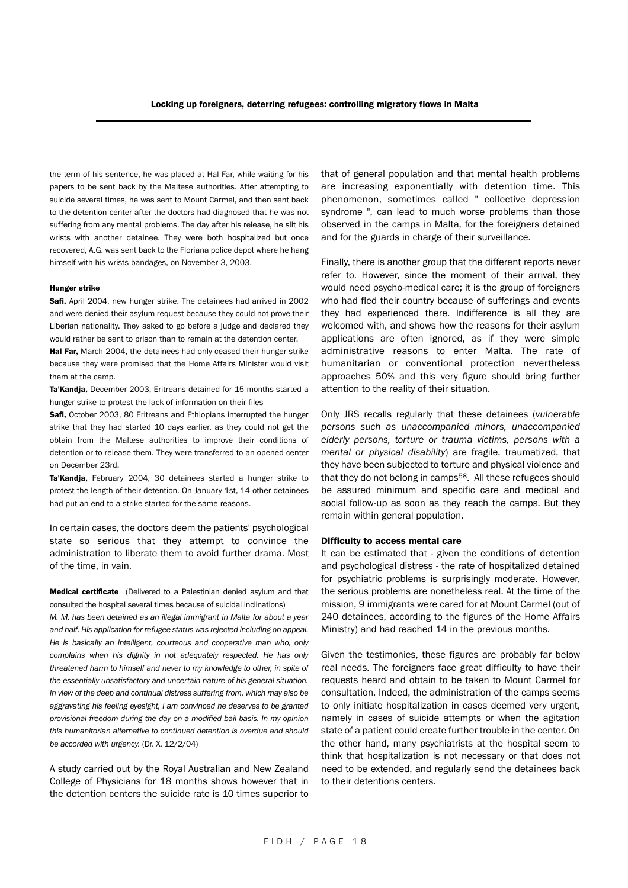the term of his sentence, he was placed at Hal Far, while waiting for his papers to be sent back by the Maltese authorities. After attempting to suicide several times, he was sent to Mount Carmel, and then sent back to the detention center after the doctors had diagnosed that he was not suffering from any mental problems. The day after his release, he slit his wrists with another detainee. They were both hospitalized but once recovered, A.G. was sent back to the Floriana police depot where he hang himself with his wrists bandages, on November 3, 2003.

#### Hunger strike

Safi, April 2004, new hunger strike. The detainees had arrived in 2002 and were denied their asylum request because they could not prove their Liberian nationality. They asked to go before a judge and declared they would rather be sent to prison than to remain at the detention center.

Hal Far, March 2004, the detainees had only ceased their hunger strike because they were promised that the Home Affairs Minister would visit them at the camp.

Ta'Kandja, December 2003, Eritreans detained for 15 months started a hunger strike to protest the lack of information on their files

Safi, October 2003, 80 Eritreans and Ethiopians interrupted the hunger strike that they had started 10 days earlier, as they could not get the obtain from the Maltese authorities to improve their conditions of detention or to release them. They were transferred to an opened center on December 23rd.

Ta'Kandja, February 2004, 30 detainees started a hunger strike to protest the length of their detention. On January 1st, 14 other detainees had put an end to a strike started for the same reasons.

In certain cases, the doctors deem the patients' psychological state so serious that they attempt to convince the administration to liberate them to avoid further drama. Most of the time, in vain.

Medical certificate (Delivered to a Palestinian denied asylum and that consulted the hospital several times because of suicidal inclinations)

*M. M. has been detained as an illegal immigrant in Malta for about a year and half. His application for refugee status was rejected including on appeal. He is basically an intelligent, courteous and cooperative man who, only complains when his dignity in not adequately respected. He has only threatened harm to himself and never to my knowledge to other, in spite of the essentially unsatisfactory and uncertain nature of his general situation. In view of the deep and continual distress suffering from, which may also be aggravating his feeling eyesight, I am convinced he deserves to be granted provisional freedom during the day on a modified bail basis. In my opinion this humanitorian alternative to continued detention is overdue and should be accorded with urgency.* (Dr. X. 12/2/04)

A study carried out by the Royal Australian and New Zealand College of Physicians for 18 months shows however that in the detention centers the suicide rate is 10 times superior to that of general population and that mental health problems are increasing exponentially with detention time. This phenomenon, sometimes called " collective depression syndrome ", can lead to much worse problems than those observed in the camps in Malta, for the foreigners detained and for the guards in charge of their surveillance.

Finally, there is another group that the different reports never refer to. However, since the moment of their arrival, they would need psycho-medical care; it is the group of foreigners who had fled their country because of sufferings and events they had experienced there. Indifference is all they are welcomed with, and shows how the reasons for their asylum applications are often ignored, as if they were simple administrative reasons to enter Malta. The rate of humanitarian or conventional protection nevertheless approaches 50% and this very figure should bring further attention to the reality of their situation.

Only JRS recalls regularly that these detainees (*vulnerable persons such as unaccompanied minors, unaccompanied elderly persons, torture or trauma victims, persons with a mental or physical disability*) are fragile, traumatized, that they have been subjected to torture and physical violence and that they do not belong in camps<sup>58</sup>. All these refugees should be assured minimum and specific care and medical and social follow-up as soon as they reach the camps. But they remain within general population.

#### Difficulty to access mental care

It can be estimated that - given the conditions of detention and psychological distress - the rate of hospitalized detained for psychiatric problems is surprisingly moderate. However, the serious problems are nonetheless real. At the time of the mission, 9 immigrants were cared for at Mount Carmel (out of 240 detainees, according to the figures of the Home Affairs Ministry) and had reached 14 in the previous months.

Given the testimonies, these figures are probably far below real needs. The foreigners face great difficulty to have their requests heard and obtain to be taken to Mount Carmel for consultation. Indeed, the administration of the camps seems to only initiate hospitalization in cases deemed very urgent, namely in cases of suicide attempts or when the agitation state of a patient could create further trouble in the center. On the other hand, many psychiatrists at the hospital seem to think that hospitalization is not necessary or that does not need to be extended, and regularly send the detainees back to their detentions centers.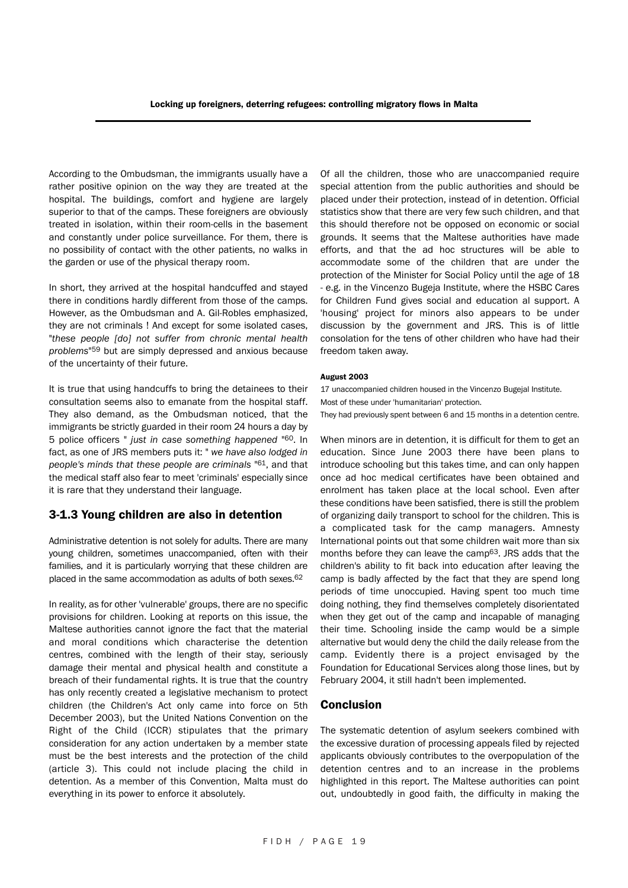According to the Ombudsman, the immigrants usually have a rather positive opinion on the way they are treated at the hospital. The buildings, comfort and hygiene are largely superior to that of the camps. These foreigners are obviously treated in isolation, within their room-cells in the basement and constantly under police surveillance. For them, there is no possibility of contact with the other patients, no walks in the garden or use of the physical therapy room.

In short, they arrived at the hospital handcuffed and stayed there in conditions hardly different from those of the camps. However, as the Ombudsman and A. Gil-Robles emphasized, they are not criminals ! And except for some isolated cases, "*these people [do] not suffer from chronic mental health problems*"59 but are simply depressed and anxious because of the uncertainty of their future.

It is true that using handcuffs to bring the detainees to their consultation seems also to emanate from the hospital staff. They also demand, as the Ombudsman noticed, that the immigrants be strictly guarded in their room 24 hours a day by 5 police officers " *just in case something happened* "60. In fact, as one of JRS members puts it: " *we have also lodged in people's minds that these people are criminals* "61, and that the medical staff also fear to meet 'criminals' especially since it is rare that they understand their language.

#### 3-1.3 Young children are also in detention

Administrative detention is not solely for adults. There are many young children, sometimes unaccompanied, often with their families, and it is particularly worrying that these children are placed in the same accommodation as adults of both sexes.62

In reality, as for other 'vulnerable' groups, there are no specific provisions for children. Looking at reports on this issue, the Maltese authorities cannot ignore the fact that the material and moral conditions which characterise the detention centres, combined with the length of their stay, seriously damage their mental and physical health and constitute a breach of their fundamental rights. It is true that the country has only recently created a legislative mechanism to protect children (the Children's Act only came into force on 5th December 2003), but the United Nations Convention on the Right of the Child (ICCR) stipulates that the primary consideration for any action undertaken by a member state must be the best interests and the protection of the child (article 3). This could not include placing the child in detention. As a member of this Convention, Malta must do everything in its power to enforce it absolutely.

Of all the children, those who are unaccompanied require special attention from the public authorities and should be placed under their protection, instead of in detention. Official statistics show that there are very few such children, and that this should therefore not be opposed on economic or social grounds. It seems that the Maltese authorities have made efforts, and that the ad hoc structures will be able to accommodate some of the children that are under the protection of the Minister for Social Policy until the age of 18 - e.g. in the Vincenzo Bugeja Institute, where the HSBC Cares for Children Fund gives social and education al support. A 'housing' project for minors also appears to be under discussion by the government and JRS. This is of little consolation for the tens of other children who have had their freedom taken away.

#### August 2003

17 unaccompanied children housed in the Vincenzo Bugejal Institute. Most of these under 'humanitarian' protection.

They had previously spent between 6 and 15 months in a detention centre.

When minors are in detention, it is difficult for them to get an education. Since June 2003 there have been plans to introduce schooling but this takes time, and can only happen once ad hoc medical certificates have been obtained and enrolment has taken place at the local school. Even after these conditions have been satisfied, there is still the problem of organizing daily transport to school for the children. This is a complicated task for the camp managers. Amnesty International points out that some children wait more than six months before they can leave the camp63. JRS adds that the children's ability to fit back into education after leaving the camp is badly affected by the fact that they are spend long periods of time unoccupied. Having spent too much time doing nothing, they find themselves completely disorientated when they get out of the camp and incapable of managing their time. Schooling inside the camp would be a simple alternative but would deny the child the daily release from the camp. Evidently there is a project envisaged by the Foundation for Educational Services along those lines, but by February 2004, it still hadn't been implemented.

#### Conclusion

The systematic detention of asylum seekers combined with the excessive duration of processing appeals filed by rejected applicants obviously contributes to the overpopulation of the detention centres and to an increase in the problems highlighted in this report. The Maltese authorities can point out, undoubtedly in good faith, the difficulty in making the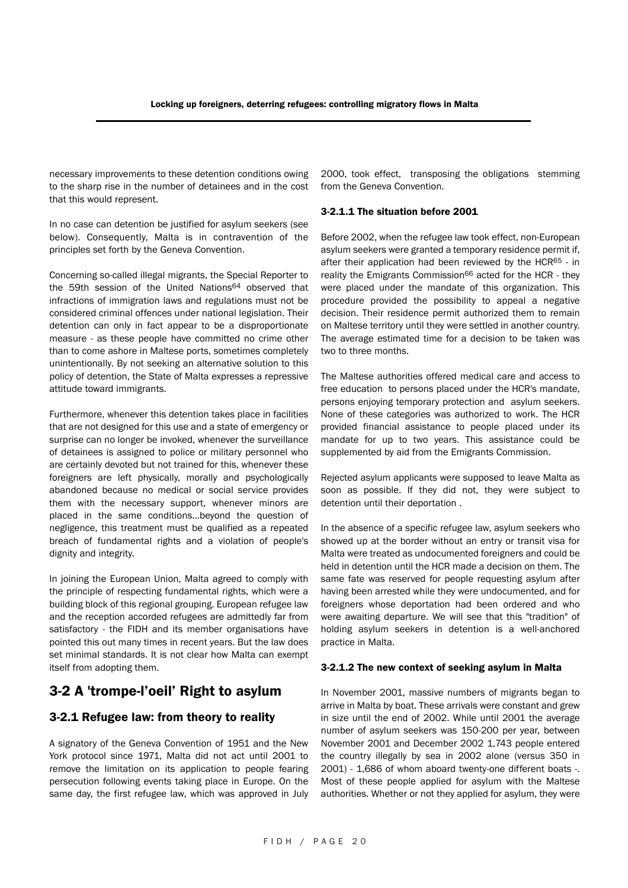necessary improvements to these detention conditions owing to the sharp rise in the number of detainees and in the cost that this would represent.

In no case can detention be justified for asylum seekers (see below). Consequently, Malta is in contravention of the principles set forth by the Geneva Convention.

Concerning so-called illegal migrants, the Special Reporter to the 59th session of the United Nations<sup>64</sup> observed that infractions of immigration laws and regulations must not be considered criminal offences under national legislation. Their detention can only in fact appear to be a disproportionate measure - as these people have committed no crime other than to come ashore in Maltese ports, sometimes completely unintentionally. By not seeking an alternative solution to this policy of detention, the State of Malta expresses a repressive attitude toward immigrants.

Furthermore, whenever this detention takes place in facilities that are not designed for this use and a state of emergency or surprise can no longer be invoked, whenever the surveillance of detainees is assigned to police or military personnel who are certainly devoted but not trained for this, whenever these foreigners are left physically, morally and psychologically abandoned because no medical or social service provides them with the necessary support, whenever minors are placed in the same conditions…beyond the question of negligence, this treatment must be qualified as a repeated breach of fundamental rights and a violation of people's dignity and integrity.

In joining the European Union, Malta agreed to comply with the principle of respecting fundamental rights, which were a building block of this regional grouping. European refugee law and the reception accorded refugees are admittedly far from satisfactory - the FIDH and its member organisations have pointed this out many times in recent years. But the law does set minimal standards. It is not clear how Malta can exempt itself from adopting them.

## 3-2 A 'trompe-l'oeil' Right to asylum

#### 3-2.1 Refugee law: from theory to reality

A signatory of the Geneva Convention of 1951 and the New York protocol since 1971, Malta did not act until 2001 to remove the limitation on its application to people fearing persecution following events taking place in Europe. On the same day, the first refugee law, which was approved in July 2000, took effect, transposing the obligations stemming from the Geneva Convention.

#### 3-2.1.1 The situation before 2001

Before 2002, when the refugee law took effect, non-European asylum seekers were granted a temporary residence permit if, after their application had been reviewed by the HCR65 - in reality the Emigrants Commission<sup>66</sup> acted for the HCR - they were placed under the mandate of this organization. This procedure provided the possibility to appeal a negative decision. Their residence permit authorized them to remain on Maltese territory until they were settled in another country. The average estimated time for a decision to be taken was two to three months.

The Maltese authorities offered medical care and access to free education to persons placed under the HCR's mandate, persons enjoying temporary protection and asylum seekers. None of these categories was authorized to work. The HCR provided financial assistance to people placed under its mandate for up to two years. This assistance could be supplemented by aid from the Emigrants Commission.

Rejected asylum applicants were supposed to leave Malta as soon as possible. If they did not, they were subject to detention until their deportation .

In the absence of a specific refugee law, asylum seekers who showed up at the border without an entry or transit visa for Malta were treated as undocumented foreigners and could be held in detention until the HCR made a decision on them. The same fate was reserved for people requesting asylum after having been arrested while they were undocumented, and for foreigners whose deportation had been ordered and who were awaiting departure. We will see that this "tradition" of holding asylum seekers in detention is a well-anchored practice in Malta.

#### 3-2.1.2 The new context of seeking asylum in Malta

In November 2001, massive numbers of migrants began to arrive in Malta by boat. These arrivals were constant and grew in size until the end of 2002. While until 2001 the average number of asylum seekers was 150-200 per year, between November 2001 and December 2002 1,743 people entered the country illegally by sea in 2002 alone (versus 350 in 2001) - 1,686 of whom aboard twenty-one different boats -. Most of these people applied for asylum with the Maltese authorities. Whether or not they applied for asylum, they were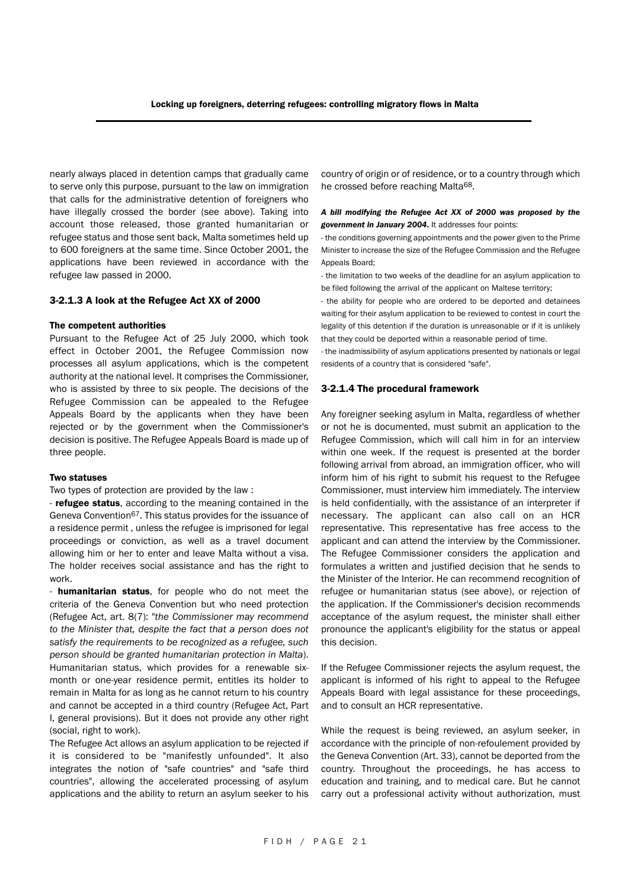nearly always placed in detention camps that gradually came to serve only this purpose, pursuant to the law on immigration that calls for the administrative detention of foreigners who have illegally crossed the border (see above). Taking into account those released, those granted humanitarian or refugee status and those sent back, Malta sometimes held up to 600 foreigners at the same time. Since October 2001, the applications have been reviewed in accordance with the refugee law passed in 2000.

#### 3-2.1.3 A look at the Refugee Act XX of 2000

#### The competent authorities

Pursuant to the Refugee Act of 25 July 2000, which took effect in October 2001, the Refugee Commission now processes all asylum applications, which is the competent authority at the national level. It comprises the Commissioner, who is assisted by three to six people. The decisions of the Refugee Commission can be appealed to the Refugee Appeals Board by the applicants when they have been rejected or by the government when the Commissioner's decision is positive. The Refugee Appeals Board is made up of three people.

#### Two statuses

Two types of protection are provided by the law :

- **refugee status**, according to the meaning contained in the Geneva Convention67. This status provides for the issuance of a residence permit , unless the refugee is imprisoned for legal proceedings or conviction, as well as a travel document allowing him or her to enter and leave Malta without a visa. The holder receives social assistance and has the right to work.

- **humanitarian status**, for people who do not meet the criteria of the Geneva Convention but who need protection (Refugee Act, art. 8(7): "*the Commissioner may recommend to the Minister that, despite the fact that a person does not satisfy the requirements to be recognized as a refugee, such person should be granted humanitarian protection in Malta*). Humanitarian status, which provides for a renewable sixmonth or one-year residence permit, entitles its holder to remain in Malta for as long as he cannot return to his country and cannot be accepted in a third country (Refugee Act, Part I, general provisions). But it does not provide any other right (social, right to work).

The Refugee Act allows an asylum application to be rejected if it is considered to be "manifestly unfounded". It also integrates the notion of "safe countries" and "safe third countries", allowing the accelerated processing of asylum applications and the ability to return an asylum seeker to his country of origin or of residence, or to a country through which he crossed before reaching Malta68.

#### *A bill modifying the Refugee Act XX of 2000 was proposed by the government in January 2004*. It addresses four points:

- the conditions governing appointments and the power given to the Prime Minister to increase the size of the Refugee Commission and the Refugee Appeals Board;

- the limitation to two weeks of the deadline for an asylum application to be filed following the arrival of the applicant on Maltese territory;

- the ability for people who are ordered to be deported and detainees waiting for their asylum application to be reviewed to contest in court the legality of this detention if the duration is unreasonable or if it is unlikely that they could be deported within a reasonable period of time.

- the inadmissibility of asylum applications presented by nationals or legal residents of a country that is considered "safe".

#### 3-2.1.4 The procedural framework

Any foreigner seeking asylum in Malta, regardless of whether or not he is documented, must submit an application to the Refugee Commission, which will call him in for an interview within one week. If the request is presented at the border following arrival from abroad, an immigration officer, who will inform him of his right to submit his request to the Refugee Commissioner, must interview him immediately. The interview is held confidentially, with the assistance of an interpreter if necessary. The applicant can also call on an HCR representative. This representative has free access to the applicant and can attend the interview by the Commissioner. The Refugee Commissioner considers the application and formulates a written and justified decision that he sends to the Minister of the Interior. He can recommend recognition of refugee or humanitarian status (see above), or rejection of the application. If the Commissioner's decision recommends acceptance of the asylum request, the minister shall either pronounce the applicant's eligibility for the status or appeal this decision.

If the Refugee Commissioner rejects the asylum request, the applicant is informed of his right to appeal to the Refugee Appeals Board with legal assistance for these proceedings, and to consult an HCR representative.

While the request is being reviewed, an asylum seeker, in accordance with the principle of non-refoulement provided by the Geneva Convention (Art. 33), cannot be deported from the country. Throughout the proceedings, he has access to education and training, and to medical care. But he cannot carry out a professional activity without authorization, must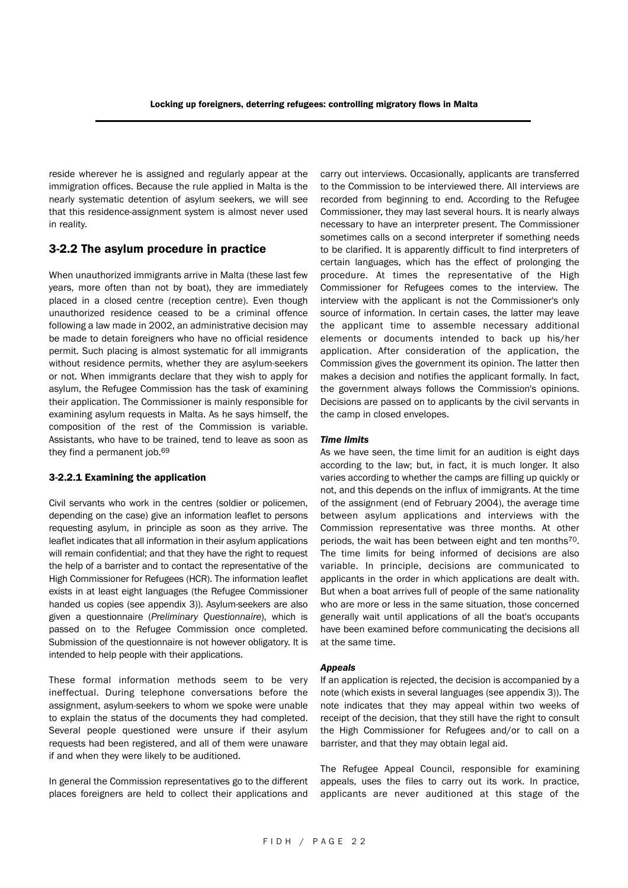reside wherever he is assigned and regularly appear at the immigration offices. Because the rule applied in Malta is the nearly systematic detention of asylum seekers, we will see that this residence-assignment system is almost never used in reality.

#### 3-2.2 The asylum procedure in practice

When unauthorized immigrants arrive in Malta (these last few years, more often than not by boat), they are immediately placed in a closed centre (reception centre). Even though unauthorized residence ceased to be a criminal offence following a law made in 2002, an administrative decision may be made to detain foreigners who have no official residence permit. Such placing is almost systematic for all immigrants without residence permits, whether they are asylum-seekers or not. When immigrants declare that they wish to apply for asylum, the Refugee Commission has the task of examining their application. The Commissioner is mainly responsible for examining asylum requests in Malta. As he says himself, the composition of the rest of the Commission is variable. Assistants, who have to be trained, tend to leave as soon as they find a permanent job.69

#### 3-2.2.1 Examining the application

Civil servants who work in the centres (soldier or policemen, depending on the case) give an information leaflet to persons requesting asylum, in principle as soon as they arrive. The leaflet indicates that all information in their asylum applications will remain confidential; and that they have the right to request the help of a barrister and to contact the representative of the High Commissioner for Refugees (HCR). The information leaflet exists in at least eight languages (the Refugee Commissioner handed us copies (see appendix 3)). Asylum-seekers are also given a questionnaire (*Preliminary Questionnaire*), which is passed on to the Refugee Commission once completed. Submission of the questionnaire is not however obligatory. It is intended to help people with their applications.

These formal information methods seem to be very ineffectual. During telephone conversations before the assignment, asylum-seekers to whom we spoke were unable to explain the status of the documents they had completed. Several people questioned were unsure if their asylum requests had been registered, and all of them were unaware if and when they were likely to be auditioned.

In general the Commission representatives go to the different places foreigners are held to collect their applications and carry out interviews. Occasionally, applicants are transferred to the Commission to be interviewed there. All interviews are recorded from beginning to end. According to the Refugee Commissioner, they may last several hours. It is nearly always necessary to have an interpreter present. The Commissioner sometimes calls on a second interpreter if something needs to be clarified. It is apparently difficult to find interpreters of certain languages, which has the effect of prolonging the procedure. At times the representative of the High Commissioner for Refugees comes to the interview. The interview with the applicant is not the Commissioner's only source of information. In certain cases, the latter may leave the applicant time to assemble necessary additional elements or documents intended to back up his/her application. After consideration of the application, the Commission gives the government its opinion. The latter then makes a decision and notifies the applicant formally. In fact, the government always follows the Commission's opinions. Decisions are passed on to applicants by the civil servants in the camp in closed envelopes.

#### *Time limits*

As we have seen, the time limit for an audition is eight days according to the law; but, in fact, it is much longer. It also varies according to whether the camps are filling up quickly or not, and this depends on the influx of immigrants. At the time of the assignment (end of February 2004), the average time between asylum applications and interviews with the Commission representative was three months. At other periods, the wait has been between eight and ten months70. The time limits for being informed of decisions are also variable. In principle, decisions are communicated to applicants in the order in which applications are dealt with. But when a boat arrives full of people of the same nationality who are more or less in the same situation, those concerned generally wait until applications of all the boat's occupants have been examined before communicating the decisions all at the same time.

#### *Appeals*

If an application is rejected, the decision is accompanied by a note (which exists in several languages (see appendix 3)). The note indicates that they may appeal within two weeks of receipt of the decision, that they still have the right to consult the High Commissioner for Refugees and/or to call on a barrister, and that they may obtain legal aid.

The Refugee Appeal Council, responsible for examining appeals, uses the files to carry out its work. In practice, applicants are never auditioned at this stage of the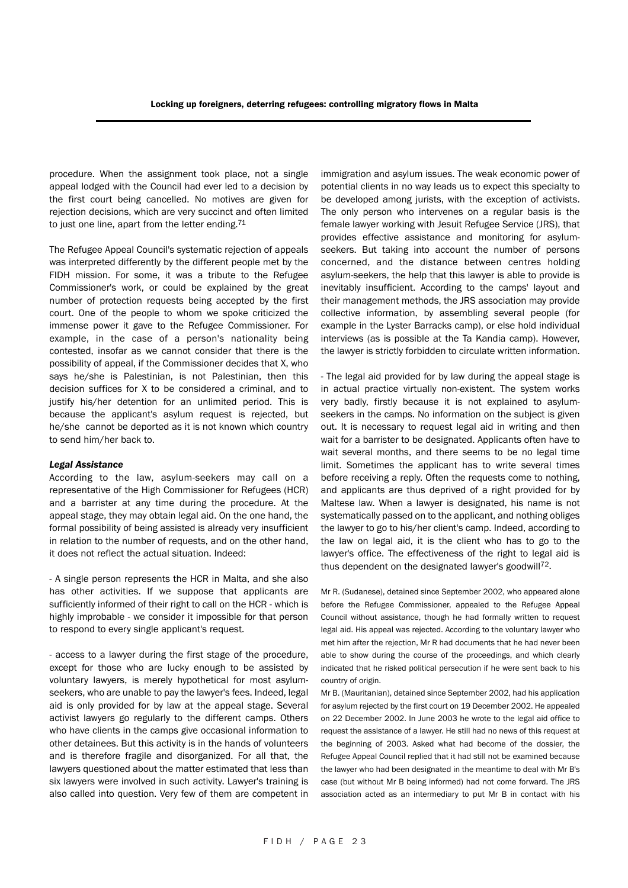procedure. When the assignment took place, not a single appeal lodged with the Council had ever led to a decision by the first court being cancelled. No motives are given for rejection decisions, which are very succinct and often limited to just one line, apart from the letter ending.71

The Refugee Appeal Council's systematic rejection of appeals was interpreted differently by the different people met by the FIDH mission. For some, it was a tribute to the Refugee Commissioner's work, or could be explained by the great number of protection requests being accepted by the first court. One of the people to whom we spoke criticized the immense power it gave to the Refugee Commissioner. For example, in the case of a person's nationality being contested, insofar as we cannot consider that there is the possibility of appeal, if the Commissioner decides that X, who says he/she is Palestinian, is not Palestinian, then this decision suffices for X to be considered a criminal, and to justify his/her detention for an unlimited period. This is because the applicant's asylum request is rejected, but he/she cannot be deported as it is not known which country to send him/her back to.

#### *Legal Assistance*

According to the law, asylum-seekers may call on a representative of the High Commissioner for Refugees (HCR) and a barrister at any time during the procedure. At the appeal stage, they may obtain legal aid. On the one hand, the formal possibility of being assisted is already very insufficient in relation to the number of requests, and on the other hand, it does not reflect the actual situation. Indeed:

- A single person represents the HCR in Malta, and she also has other activities. If we suppose that applicants are sufficiently informed of their right to call on the HCR - which is highly improbable - we consider it impossible for that person to respond to every single applicant's request.

- access to a lawyer during the first stage of the procedure, except for those who are lucky enough to be assisted by voluntary lawyers, is merely hypothetical for most asylumseekers, who are unable to pay the lawyer's fees. Indeed, legal aid is only provided for by law at the appeal stage. Several activist lawyers go regularly to the different camps. Others who have clients in the camps give occasional information to other detainees. But this activity is in the hands of volunteers and is therefore fragile and disorganized. For all that, the lawyers questioned about the matter estimated that less than six lawyers were involved in such activity. Lawyer's training is also called into question. Very few of them are competent in immigration and asylum issues. The weak economic power of potential clients in no way leads us to expect this specialty to be developed among jurists, with the exception of activists. The only person who intervenes on a regular basis is the female lawyer working with Jesuit Refugee Service (JRS), that provides effective assistance and monitoring for asylumseekers. But taking into account the number of persons concerned, and the distance between centres holding asylum-seekers, the help that this lawyer is able to provide is inevitably insufficient. According to the camps' layout and their management methods, the JRS association may provide collective information, by assembling several people (for example in the Lyster Barracks camp), or else hold individual interviews (as is possible at the Ta Kandia camp). However, the lawyer is strictly forbidden to circulate written information.

- The legal aid provided for by law during the appeal stage is in actual practice virtually non-existent. The system works very badly, firstly because it is not explained to asylumseekers in the camps. No information on the subject is given out. It is necessary to request legal aid in writing and then wait for a barrister to be designated. Applicants often have to wait several months, and there seems to be no legal time limit. Sometimes the applicant has to write several times before receiving a reply. Often the requests come to nothing, and applicants are thus deprived of a right provided for by Maltese law. When a lawyer is designated, his name is not systematically passed on to the applicant, and nothing obliges the lawyer to go to his/her client's camp. Indeed, according to the law on legal aid, it is the client who has to go to the lawyer's office. The effectiveness of the right to legal aid is thus dependent on the designated lawyer's goodwill72.

Mr R. (Sudanese), detained since September 2002, who appeared alone before the Refugee Commissioner, appealed to the Refugee Appeal Council without assistance, though he had formally written to request legal aid. His appeal was rejected. According to the voluntary lawyer who met him after the rejection, Mr R had documents that he had never been able to show during the course of the proceedings, and which clearly indicated that he risked political persecution if he were sent back to his country of origin.

Mr B. (Mauritanian), detained since September 2002, had his application for asylum rejected by the first court on 19 December 2002. He appealed on 22 December 2002. In June 2003 he wrote to the legal aid office to request the assistance of a lawyer. He still had no news of this request at the beginning of 2003. Asked what had become of the dossier, the Refugee Appeal Council replied that it had still not be examined because the lawyer who had been designated in the meantime to deal with Mr B's case (but without Mr B being informed) had not come forward. The JRS association acted as an intermediary to put Mr B in contact with his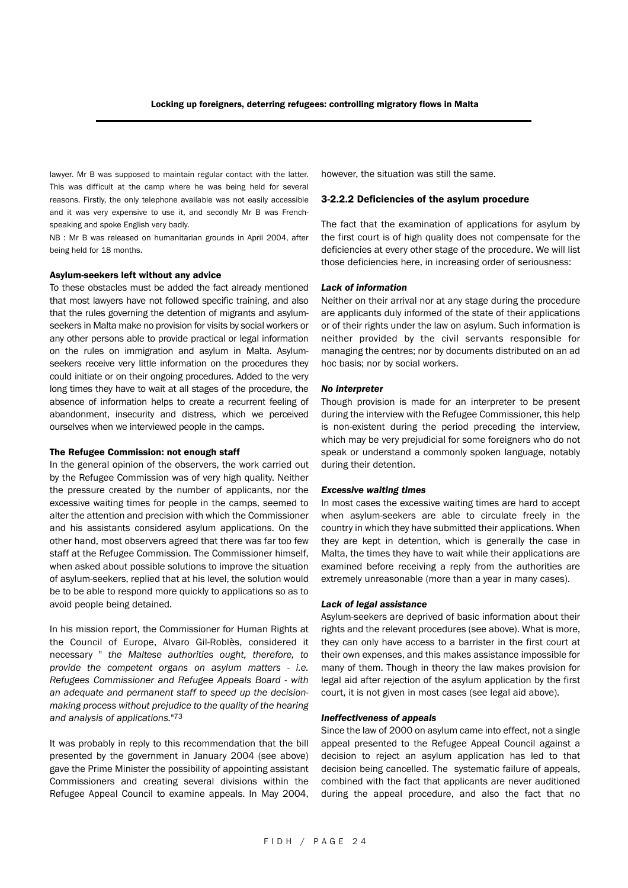lawyer. Mr B was supposed to maintain regular contact with the latter. This was difficult at the camp where he was being held for several reasons. Firstly, the only telephone available was not easily accessible and it was very expensive to use it, and secondly Mr B was Frenchspeaking and spoke English very badly.

NB : Mr B was released on humanitarian grounds in April 2004, after being held for 18 months.

#### Asylum-seekers left without any advice

To these obstacles must be added the fact already mentioned that most lawyers have not followed specific training, and also that the rules governing the detention of migrants and asylumseekers in Malta make no provision for visits by social workers or any other persons able to provide practical or legal information on the rules on immigration and asylum in Malta. Asylumseekers receive very little information on the procedures they could initiate or on their ongoing procedures. Added to the very long times they have to wait at all stages of the procedure, the absence of information helps to create a recurrent feeling of abandonment, insecurity and distress, which we perceived ourselves when we interviewed people in the camps.

#### The Refugee Commission: not enough staff

In the general opinion of the observers, the work carried out by the Refugee Commission was of very high quality. Neither the pressure created by the number of applicants, nor the excessive waiting times for people in the camps, seemed to alter the attention and precision with which the Commissioner and his assistants considered asylum applications. On the other hand, most observers agreed that there was far too few staff at the Refugee Commission. The Commissioner himself, when asked about possible solutions to improve the situation of asylum-seekers, replied that at his level, the solution would be to be able to respond more quickly to applications so as to avoid people being detained.

In his mission report, the Commissioner for Human Rights at the Council of Europe, Alvaro Gil-Roblès, considered it necessary " *the Maltese authorities ought, therefore, to provide the competent organs on asylum matters - i.e. Refugees Commissioner and Refugee Appeals Board - with an adequate and permanent staff to speed up the decisionmaking process without prejudice to the quality of the hearing and analysis of applications.*"73

It was probably in reply to this recommendation that the bill presented by the government in January 2004 (see above) gave the Prime Minister the possibility of appointing assistant Commissioners and creating several divisions within the Refugee Appeal Council to examine appeals. In May 2004, however, the situation was still the same.

#### 3-2.2.2 Deficiencies of the asylum procedure

The fact that the examination of applications for asylum by the first court is of high quality does not compensate for the deficiencies at every other stage of the procedure. We will list those deficiencies here, in increasing order of seriousness:

#### *Lack of information*

Neither on their arrival nor at any stage during the procedure are applicants duly informed of the state of their applications or of their rights under the law on asylum. Such information is neither provided by the civil servants responsible for managing the centres; nor by documents distributed on an ad hoc basis; nor by social workers.

#### *No interpreter*

Though provision is made for an interpreter to be present during the interview with the Refugee Commissioner, this help is non-existent during the period preceding the interview, which may be very prejudicial for some foreigners who do not speak or understand a commonly spoken language, notably during their detention.

#### *Excessive waiting times*

In most cases the excessive waiting times are hard to accept when asylum-seekers are able to circulate freely in the country in which they have submitted their applications. When they are kept in detention, which is generally the case in Malta, the times they have to wait while their applications are examined before receiving a reply from the authorities are extremely unreasonable (more than a year in many cases).

#### *Lack of legal assistance*

Asylum-seekers are deprived of basic information about their rights and the relevant procedures (see above). What is more, they can only have access to a barrister in the first court at their own expenses, and this makes assistance impossible for many of them. Though in theory the law makes provision for legal aid after rejection of the asylum application by the first court, it is not given in most cases (see legal aid above).

#### *Ineffectiveness of appeals*

Since the law of 2000 on asylum came into effect, not a single appeal presented to the Refugee Appeal Council against a decision to reject an asylum application has led to that decision being cancelled. The systematic failure of appeals, combined with the fact that applicants are never auditioned during the appeal procedure, and also the fact that no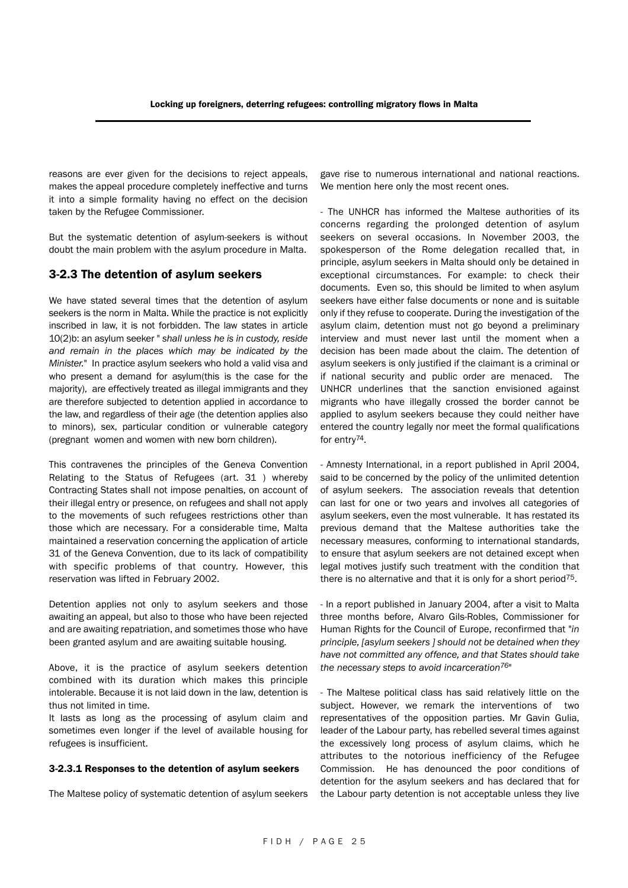reasons are ever given for the decisions to reject appeals, makes the appeal procedure completely ineffective and turns it into a simple formality having no effect on the decision taken by the Refugee Commissioner.

But the systematic detention of asylum-seekers is without doubt the main problem with the asylum procedure in Malta.

#### 3-2.3 The detention of asylum seekers

We have stated several times that the detention of asylum seekers is the norm in Malta. While the practice is not explicitly inscribed in law, it is not forbidden. The law states in article 10(2)b: an asylum seeker " *shall unless he is in custody, reside and remain in the places which may be indicated by the Minister.*" In practice asylum seekers who hold a valid visa and who present a demand for asylum(this is the case for the majority), are effectively treated as illegal immigrants and they are therefore subjected to detention applied in accordance to the law, and regardless of their age (the detention applies also to minors), sex, particular condition or vulnerable category (pregnant women and women with new born children).

This contravenes the principles of the Geneva Convention Relating to the Status of Refugees (art. 31 ) whereby Contracting States shall not impose penalties, on account of their illegal entry or presence, on refugees and shall not apply to the movements of such refugees restrictions other than those which are necessary. For a considerable time, Malta maintained a reservation concerning the application of article 31 of the Geneva Convention, due to its lack of compatibility with specific problems of that country. However, this reservation was lifted in February 2002.

Detention applies not only to asylum seekers and those awaiting an appeal, but also to those who have been rejected and are awaiting repatriation, and sometimes those who have been granted asylum and are awaiting suitable housing.

Above, it is the practice of asylum seekers detention combined with its duration which makes this principle intolerable. Because it is not laid down in the law, detention is thus not limited in time.

It lasts as long as the processing of asylum claim and sometimes even longer if the level of available housing for refugees is insufficient.

#### 3-2.3.1 Responses to the detention of asylum seekers

The Maltese policy of systematic detention of asylum seekers

gave rise to numerous international and national reactions. We mention here only the most recent ones.

- The UNHCR has informed the Maltese authorities of its concerns regarding the prolonged detention of asylum seekers on several occasions. In November 2003, the spokesperson of the Rome delegation recalled that, in principle, asylum seekers in Malta should only be detained in exceptional circumstances. For example: to check their documents. Even so, this should be limited to when asylum seekers have either false documents or none and is suitable only if they refuse to cooperate. During the investigation of the asylum claim, detention must not go beyond a preliminary interview and must never last until the moment when a decision has been made about the claim. The detention of asylum seekers is only justified if the claimant is a criminal or if national security and public order are menaced. The UNHCR underlines that the sanction envisioned against migrants who have illegally crossed the border cannot be applied to asylum seekers because they could neither have entered the country legally nor meet the formal qualifications for entry<sup>74</sup>.

- Amnesty International, in a report published in April 2004, said to be concerned by the policy of the unlimited detention of asylum seekers. The association reveals that detention can last for one or two years and involves all categories of asylum seekers, even the most vulnerable. It has restated its previous demand that the Maltese authorities take the necessary measures, conforming to international standards, to ensure that asylum seekers are not detained except when legal motives justify such treatment with the condition that there is no alternative and that it is only for a short period<sup>75</sup>.

- In a report published in January 2004, after a visit to Malta three months before, Alvaro Gils-Robles, Commissioner for Human Rights for the Council of Europe, reconfirmed that "*in principle, [asylum seekers ] should not be detained when they have not committed any offence, and that States should take the necessary steps to avoid incarceration76*"

- The Maltese political class has said relatively little on the subject. However, we remark the interventions of two representatives of the opposition parties. Mr Gavin Gulia, leader of the Labour party, has rebelled several times against the excessively long process of asylum claims, which he attributes to the notorious inefficiency of the Refugee Commission. He has denounced the poor conditions of detention for the asylum seekers and has declared that for the Labour party detention is not acceptable unless they live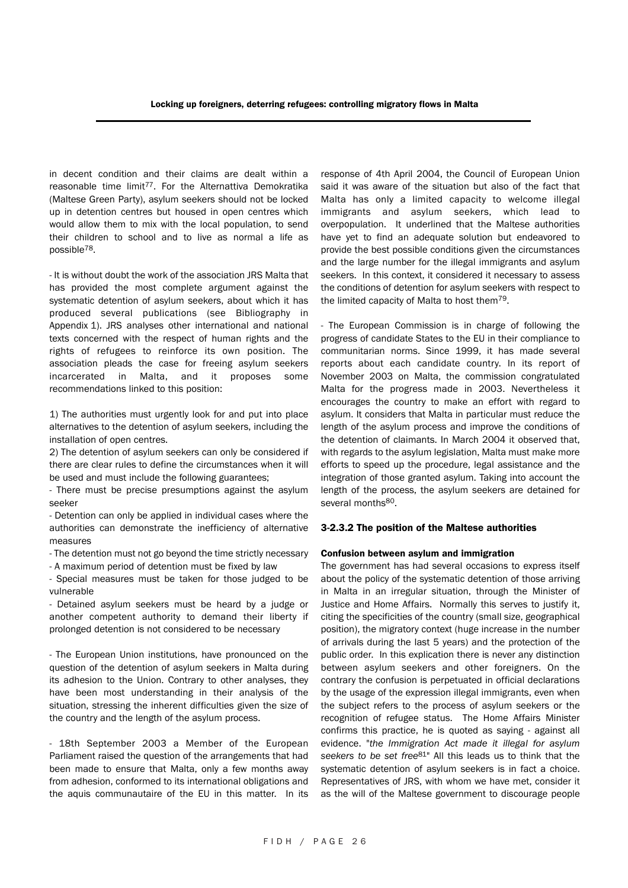in decent condition and their claims are dealt within a reasonable time limit<sup>77</sup>. For the Alternattiva Demokratika (Maltese Green Party), asylum seekers should not be locked up in detention centres but housed in open centres which would allow them to mix with the local population, to send their children to school and to live as normal a life as possible78.

- It is without doubt the work of the association JRS Malta that has provided the most complete argument against the systematic detention of asylum seekers, about which it has produced several publications (see Bibliography in Appendix 1). JRS analyses other international and national texts concerned with the respect of human rights and the rights of refugees to reinforce its own position. The association pleads the case for freeing asylum seekers incarcerated in Malta, and it proposes some recommendations linked to this position:

1) The authorities must urgently look for and put into place alternatives to the detention of asylum seekers, including the installation of open centres.

2) The detention of asylum seekers can only be considered if there are clear rules to define the circumstances when it will be used and must include the following guarantees;

- There must be precise presumptions against the asylum seeker

- Detention can only be applied in individual cases where the authorities can demonstrate the inefficiency of alternative measures

- The detention must not go beyond the time strictly necessary

- A maximum period of detention must be fixed by law

- Special measures must be taken for those judged to be vulnerable

- Detained asylum seekers must be heard by a judge or another competent authority to demand their liberty if prolonged detention is not considered to be necessary

- The European Union institutions, have pronounced on the question of the detention of asylum seekers in Malta during its adhesion to the Union. Contrary to other analyses, they have been most understanding in their analysis of the situation, stressing the inherent difficulties given the size of the country and the length of the asylum process.

- 18th September 2003 a Member of the European Parliament raised the question of the arrangements that had been made to ensure that Malta, only a few months away from adhesion, conformed to its international obligations and the aquis communautaire of the EU in this matter. In its response of 4th April 2004, the Council of European Union said it was aware of the situation but also of the fact that Malta has only a limited capacity to welcome illegal immigrants and asylum seekers, which lead to overpopulation. It underlined that the Maltese authorities have yet to find an adequate solution but endeavored to provide the best possible conditions given the circumstances and the large number for the illegal immigrants and asylum seekers. In this context, it considered it necessary to assess the conditions of detention for asylum seekers with respect to the limited capacity of Malta to host them79.

- The European Commission is in charge of following the progress of candidate States to the EU in their compliance to communitarian norms. Since 1999, it has made several reports about each candidate country. In its report of November 2003 on Malta, the commission congratulated Malta for the progress made in 2003. Nevertheless it encourages the country to make an effort with regard to asylum. It considers that Malta in particular must reduce the length of the asylum process and improve the conditions of the detention of claimants. In March 2004 it observed that, with regards to the asylum legislation, Malta must make more efforts to speed up the procedure, legal assistance and the integration of those granted asylum. Taking into account the length of the process, the asylum seekers are detained for several months80.

#### 3-2.3.2 The position of the Maltese authorities

#### Confusion between asylum and immigration

The government has had several occasions to express itself about the policy of the systematic detention of those arriving in Malta in an irregular situation, through the Minister of Justice and Home Affairs. Normally this serves to justify it, citing the specificities of the country (small size, geographical position), the migratory context (huge increase in the number of arrivals during the last 5 years) and the protection of the public order. In this explication there is never any distinction between asylum seekers and other foreigners. On the contrary the confusion is perpetuated in official declarations by the usage of the expression illegal immigrants, even when the subject refers to the process of asylum seekers or the recognition of refugee status. The Home Affairs Minister confirms this practice, he is quoted as saying - against all evidence. "*the Immigration Act made it illegal for asylum seekers to be set free*81" All this leads us to think that the systematic detention of asylum seekers is in fact a choice. Representatives of JRS, with whom we have met, consider it as the will of the Maltese government to discourage people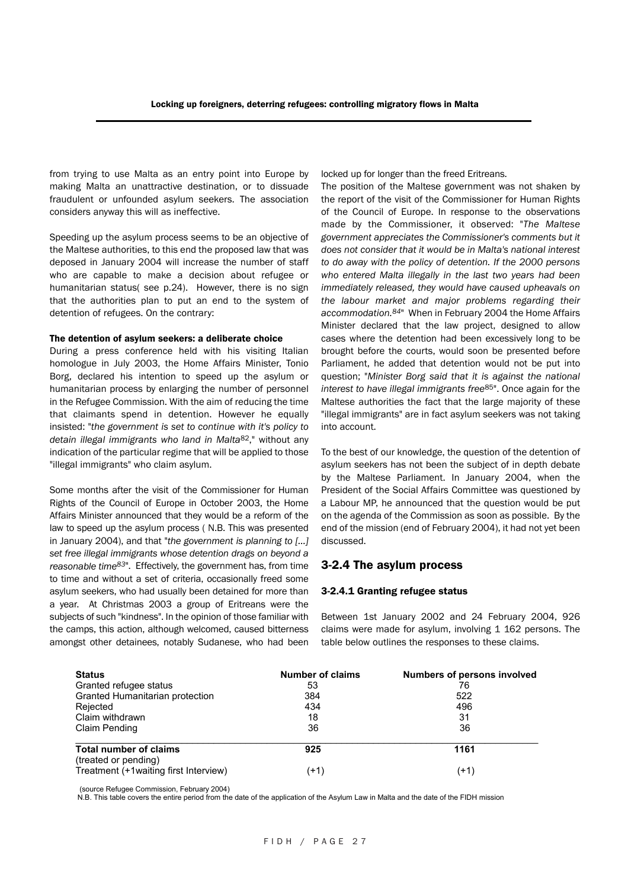from trying to use Malta as an entry point into Europe by making Malta an unattractive destination, or to dissuade fraudulent or unfounded asylum seekers. The association considers anyway this will as ineffective.

Speeding up the asylum process seems to be an objective of the Maltese authorities, to this end the proposed law that was deposed in January 2004 will increase the number of staff who are capable to make a decision about refugee or humanitarian status( see p.24). However, there is no sign that the authorities plan to put an end to the system of detention of refugees. On the contrary:

#### The detention of asylum seekers: a deliberate choice

During a press conference held with his visiting Italian homologue in July 2003, the Home Affairs Minister, Tonio Borg, declared his intention to speed up the asylum or humanitarian process by enlarging the number of personnel in the Refugee Commission. With the aim of reducing the time that claimants spend in detention. However he equally insisted: "*the government is set to continue with it's policy to detain illegal immigrants who land in Malta*82," without any indication of the particular regime that will be applied to those "illegal immigrants" who claim asylum.

Some months after the visit of the Commissioner for Human Rights of the Council of Europe in October 2003, the Home Affairs Minister announced that they would be a reform of the law to speed up the asylum process ( N.B. This was presented in January 2004), and that "*the government is planning to […] set free illegal immigrants whose detention drags on beyond a reasonable time83*". Effectively, the government has, from time to time and without a set of criteria, occasionally freed some asylum seekers, who had usually been detained for more than a year. At Christmas 2003 a group of Eritreans were the subjects of such "kindness". In the opinion of those familiar with the camps, this action, although welcomed, caused bitterness amongst other detainees, notably Sudanese, who had been locked up for longer than the freed Eritreans.

The position of the Maltese government was not shaken by the report of the visit of the Commissioner for Human Rights of the Council of Europe. In response to the observations made by the Commissioner, it observed: "*The Maltese government appreciates the Commissioner's comments but it does not consider that it would be in Malta's national interest to do away with the policy of detention. If the 2000 persons who entered Malta illegally in the last two years had been immediately released, they would have caused upheavals on the labour market and major problems regarding their accommodation.84*" When in February 2004 the Home Affairs Minister declared that the law project, designed to allow cases where the detention had been excessively long to be brought before the courts, would soon be presented before Parliament, he added that detention would not be put into question; "*Minister Borg said that it is against the national interest to have illegal immigrants free*85". Once again for the Maltese authorities the fact that the large majority of these "illegal immigrants" are in fact asylum seekers was not taking into account.

To the best of our knowledge, the question of the detention of asylum seekers has not been the subject of in depth debate by the Maltese Parliament. In January 2004, when the President of the Social Affairs Committee was questioned by a Labour MP, he announced that the question would be put on the agenda of the Commission as soon as possible. By the end of the mission (end of February 2004), it had not yet been discussed.

#### 3-2.4 The asylum process

#### 3-2.4.1 Granting refugee status

Between 1st January 2002 and 24 February 2004, 926 claims were made for asylum, involving 1 162 persons. The table below outlines the responses to these claims.

| <b>Status</b>                          | <b>Number of claims</b> | <b>Numbers of persons involved</b> |
|----------------------------------------|-------------------------|------------------------------------|
| Granted refugee status                 | 53                      | 76                                 |
| Granted Humanitarian protection        | 384                     | 522                                |
| Rejected                               | 434                     | 496                                |
| Claim withdrawn                        | 18                      | 31                                 |
| Claim Pending                          | 36                      | 36                                 |
| <b>Total number of claims</b>          | 925                     | 1161                               |
| (treated or pending)                   |                         |                                    |
| Treatment (+1 waiting first Interview) | $+1)$                   | (+1)                               |

(source Refugee Commission, February 2004)

N.B. This table covers the entire period from the date of the application of the Asylum Law in Malta and the date of the FIDH mission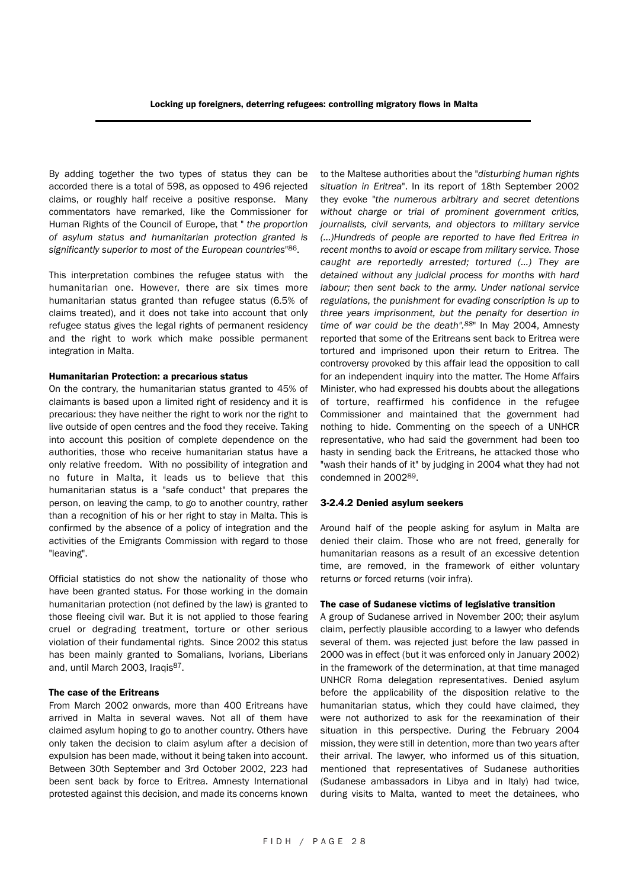By adding together the two types of status they can be accorded there is a total of 598, as opposed to 496 rejected claims, or roughly half receive a positive response. Many commentators have remarked, like the Commissioner for Human Rights of the Council of Europe, that " *the proportion of asylum status and humanitarian protection granted is significantly superior to most of the European countries*"86.

This interpretation combines the refugee status with the humanitarian one. However, there are six times more humanitarian status granted than refugee status (6.5% of claims treated), and it does not take into account that only refugee status gives the legal rights of permanent residency and the right to work which make possible permanent integration in Malta.

#### Humanitarian Protection: a precarious status

On the contrary, the humanitarian status granted to 45% of claimants is based upon a limited right of residency and it is precarious: they have neither the right to work nor the right to live outside of open centres and the food they receive. Taking into account this position of complete dependence on the authorities, those who receive humanitarian status have a only relative freedom. With no possibility of integration and no future in Malta, it leads us to believe that this humanitarian status is a "safe conduct" that prepares the person, on leaving the camp, to go to another country, rather than a recognition of his or her right to stay in Malta. This is confirmed by the absence of a policy of integration and the activities of the Emigrants Commission with regard to those "leaving".

Official statistics do not show the nationality of those who have been granted status. For those working in the domain humanitarian protection (not defined by the law) is granted to those fleeing civil war. But it is not applied to those fearing cruel or degrading treatment, torture or other serious violation of their fundamental rights. Since 2002 this status has been mainly granted to Somalians, Ivorians, Liberians and, until March 2003, Iraqis<sup>87</sup>.

#### The case of the Eritreans

From March 2002 onwards, more than 400 Eritreans have arrived in Malta in several waves. Not all of them have claimed asylum hoping to go to another country. Others have only taken the decision to claim asylum after a decision of expulsion has been made, without it being taken into account. Between 30th September and 3rd October 2002, 223 had been sent back by force to Eritrea. Amnesty International protested against this decision, and made its concerns known

to the Maltese authorities about the "*disturbing human rights situation in Eritrea*". In its report of 18th September 2002 they evoke "*the numerous arbitrary and secret detentions without charge or trial of prominent government critics, journalists, civil servants, and objectors to military service (…)Hundreds of people are reported to have fled Eritrea in recent months to avoid or escape from military service. Those caught are reportedly arrested; tortured (…) They are detained without any judicial process for months with hard labour; then sent back to the army. Under national service regulations, the punishment for evading conscription is up to three years imprisonment, but the penalty for desertion in time of war could be the death".88*" In May 2004, Amnesty reported that some of the Eritreans sent back to Eritrea were tortured and imprisoned upon their return to Eritrea. The controversy provoked by this affair lead the opposition to call for an independent inquiry into the matter. The Home Affairs Minister, who had expressed his doubts about the allegations of torture, reaffirmed his confidence in the refugee Commissioner and maintained that the government had nothing to hide. Commenting on the speech of a UNHCR representative, who had said the government had been too hasty in sending back the Eritreans, he attacked those who "wash their hands of it" by judging in 2004 what they had not condemned in 200289.

#### 3-2.4.2 Denied asylum seekers

Around half of the people asking for asylum in Malta are denied their claim. Those who are not freed, generally for humanitarian reasons as a result of an excessive detention time, are removed, in the framework of either voluntary returns or forced returns (voir infra).

#### The case of Sudanese victims of legislative transition

A group of Sudanese arrived in November 200; their asylum claim, perfectly plausible according to a lawyer who defends several of them. was rejected just before the law passed in 2000 was in effect (but it was enforced only in January 2002) in the framework of the determination, at that time managed UNHCR Roma delegation representatives. Denied asylum before the applicability of the disposition relative to the humanitarian status, which they could have claimed, they were not authorized to ask for the reexamination of their situation in this perspective. During the February 2004 mission, they were still in detention, more than two years after their arrival. The lawyer, who informed us of this situation, mentioned that representatives of Sudanese authorities (Sudanese ambassadors in Libya and in Italy) had twice, during visits to Malta, wanted to meet the detainees, who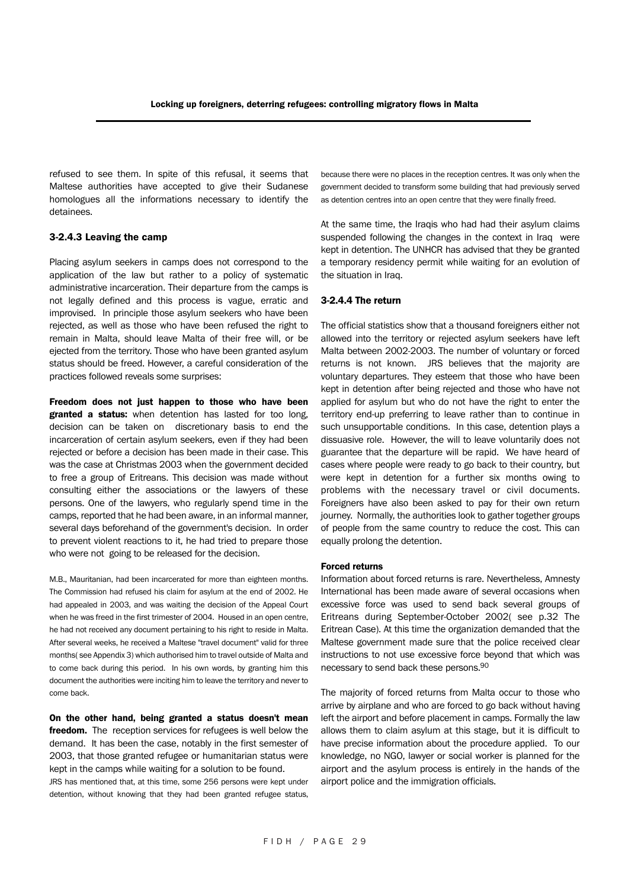refused to see them. In spite of this refusal, it seems that Maltese authorities have accepted to give their Sudanese homologues all the informations necessary to identify the detainees.

#### 3-2.4.3 Leaving the camp

Placing asylum seekers in camps does not correspond to the application of the law but rather to a policy of systematic administrative incarceration. Their departure from the camps is not legally defined and this process is vague, erratic and improvised. In principle those asylum seekers who have been rejected, as well as those who have been refused the right to remain in Malta, should leave Malta of their free will, or be ejected from the territory. Those who have been granted asylum status should be freed. However, a careful consideration of the practices followed reveals some surprises:

Freedom does not just happen to those who have been granted a status: when detention has lasted for too long, decision can be taken on discretionary basis to end the incarceration of certain asylum seekers, even if they had been rejected or before a decision has been made in their case. This was the case at Christmas 2003 when the government decided to free a group of Eritreans. This decision was made without consulting either the associations or the lawyers of these persons. One of the lawyers, who regularly spend time in the camps, reported that he had been aware, in an informal manner, several days beforehand of the government's decision. In order to prevent violent reactions to it, he had tried to prepare those who were not going to be released for the decision.

M.B., Mauritanian, had been incarcerated for more than eighteen months. The Commission had refused his claim for asylum at the end of 2002. He had appealed in 2003, and was waiting the decision of the Appeal Court when he was freed in the first trimester of 2004. Housed in an open centre, he had not received any document pertaining to his right to reside in Malta. After several weeks, he received a Maltese "travel document" valid for three months( see Appendix 3) which authorised him to travel outside of Malta and to come back during this period. In his own words, by granting him this document the authorities were inciting him to leave the territory and never to come back.

On the other hand, being granted a status doesn't mean freedom. The reception services for refugees is well below the demand. It has been the case, notably in the first semester of 2003, that those granted refugee or humanitarian status were kept in the camps while waiting for a solution to be found.

JRS has mentioned that, at this time, some 256 persons were kept under detention, without knowing that they had been granted refugee status, because there were no places in the reception centres. It was only when the government decided to transform some building that had previously served as detention centres into an open centre that they were finally freed.

At the same time, the Iraqis who had had their asylum claims suspended following the changes in the context in Iraq were kept in detention. The UNHCR has advised that they be granted a temporary residency permit while waiting for an evolution of the situation in Iraq.

#### 3-2.4.4 The return

The official statistics show that a thousand foreigners either not allowed into the territory or rejected asylum seekers have left Malta between 2002-2003. The number of voluntary or forced returns is not known. JRS believes that the majority are voluntary departures. They esteem that those who have been kept in detention after being rejected and those who have not applied for asylum but who do not have the right to enter the territory end-up preferring to leave rather than to continue in such unsupportable conditions. In this case, detention plays a dissuasive role. However, the will to leave voluntarily does not guarantee that the departure will be rapid. We have heard of cases where people were ready to go back to their country, but were kept in detention for a further six months owing to problems with the necessary travel or civil documents. Foreigners have also been asked to pay for their own return journey. Normally, the authorities look to gather together groups of people from the same country to reduce the cost. This can equally prolong the detention.

#### Forced returns

Information about forced returns is rare. Nevertheless, Amnesty International has been made aware of several occasions when excessive force was used to send back several groups of Eritreans during September-October 2002( see p.32 The Eritrean Case). At this time the organization demanded that the Maltese government made sure that the police received clear instructions to not use excessive force beyond that which was necessary to send back these persons.90

The majority of forced returns from Malta occur to those who arrive by airplane and who are forced to go back without having left the airport and before placement in camps. Formally the law allows them to claim asylum at this stage, but it is difficult to have precise information about the procedure applied. To our knowledge, no NGO, lawyer or social worker is planned for the airport and the asylum process is entirely in the hands of the airport police and the immigration officials.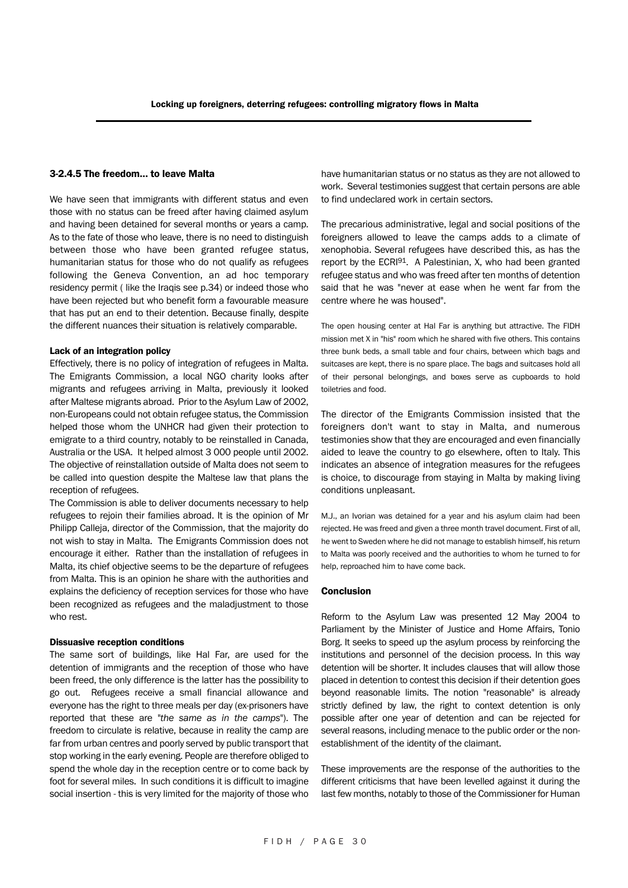#### 3-2.4.5 The freedom… to leave Malta

We have seen that immigrants with different status and even those with no status can be freed after having claimed asylum and having been detained for several months or years a camp. As to the fate of those who leave, there is no need to distinguish between those who have been granted refugee status, humanitarian status for those who do not qualify as refugees following the Geneva Convention, an ad hoc temporary residency permit ( like the Iraqis see p.34) or indeed those who have been rejected but who benefit form a favourable measure that has put an end to their detention. Because finally, despite the different nuances their situation is relatively comparable.

#### Lack of an integration policy

Effectively, there is no policy of integration of refugees in Malta. The Emigrants Commission, a local NGO charity looks after migrants and refugees arriving in Malta, previously it looked after Maltese migrants abroad. Prior to the Asylum Law of 2002, non-Europeans could not obtain refugee status, the Commission helped those whom the UNHCR had given their protection to emigrate to a third country, notably to be reinstalled in Canada, Australia or the USA. It helped almost 3 000 people until 2002. The objective of reinstallation outside of Malta does not seem to be called into question despite the Maltese law that plans the reception of refugees.

The Commission is able to deliver documents necessary to help refugees to rejoin their families abroad. It is the opinion of Mr Philipp Calleja, director of the Commission, that the majority do not wish to stay in Malta. The Emigrants Commission does not encourage it either. Rather than the installation of refugees in Malta, its chief objective seems to be the departure of refugees from Malta. This is an opinion he share with the authorities and explains the deficiency of reception services for those who have been recognized as refugees and the maladjustment to those who rest.

#### Dissuasive reception conditions

The same sort of buildings, like Hal Far, are used for the detention of immigrants and the reception of those who have been freed, the only difference is the latter has the possibility to go out. Refugees receive a small financial allowance and everyone has the right to three meals per day (ex-prisoners have reported that these are "*the same as in the camps*"). The freedom to circulate is relative, because in reality the camp are far from urban centres and poorly served by public transport that stop working in the early evening. People are therefore obliged to spend the whole day in the reception centre or to come back by foot for several miles. In such conditions it is difficult to imagine social insertion - this is very limited for the majority of those who have humanitarian status or no status as they are not allowed to work. Several testimonies suggest that certain persons are able to find undeclared work in certain sectors.

The precarious administrative, legal and social positions of the foreigners allowed to leave the camps adds to a climate of xenophobia. Several refugees have described this, as has the report by the ECRI91. A Palestinian, X, who had been granted refugee status and who was freed after ten months of detention said that he was "never at ease when he went far from the centre where he was housed".

The open housing center at Hal Far is anything but attractive. The FIDH mission met X in "his" room which he shared with five others. This contains three bunk beds, a small table and four chairs, between which bags and suitcases are kept, there is no spare place. The bags and suitcases hold all of their personal belongings, and boxes serve as cupboards to hold toiletries and food.

The director of the Emigrants Commission insisted that the foreigners don't want to stay in Malta, and numerous testimonies show that they are encouraged and even financially aided to leave the country to go elsewhere, often to Italy. This indicates an absence of integration measures for the refugees is choice, to discourage from staying in Malta by making living conditions unpleasant.

M.J., an Ivorian was detained for a year and his asylum claim had been rejected. He was freed and given a three month travel document. First of all, he went to Sweden where he did not manage to establish himself, his return to Malta was poorly received and the authorities to whom he turned to for help, reproached him to have come back.

#### Conclusion

Reform to the Asylum Law was presented 12 May 2004 to Parliament by the Minister of Justice and Home Affairs, Tonio Borg. It seeks to speed up the asylum process by reinforcing the institutions and personnel of the decision process. In this way detention will be shorter. It includes clauses that will allow those placed in detention to contest this decision if their detention goes beyond reasonable limits. The notion "reasonable" is already strictly defined by law, the right to context detention is only possible after one year of detention and can be rejected for several reasons, including menace to the public order or the nonestablishment of the identity of the claimant.

These improvements are the response of the authorities to the different criticisms that have been levelled against it during the last few months, notably to those of the Commissioner for Human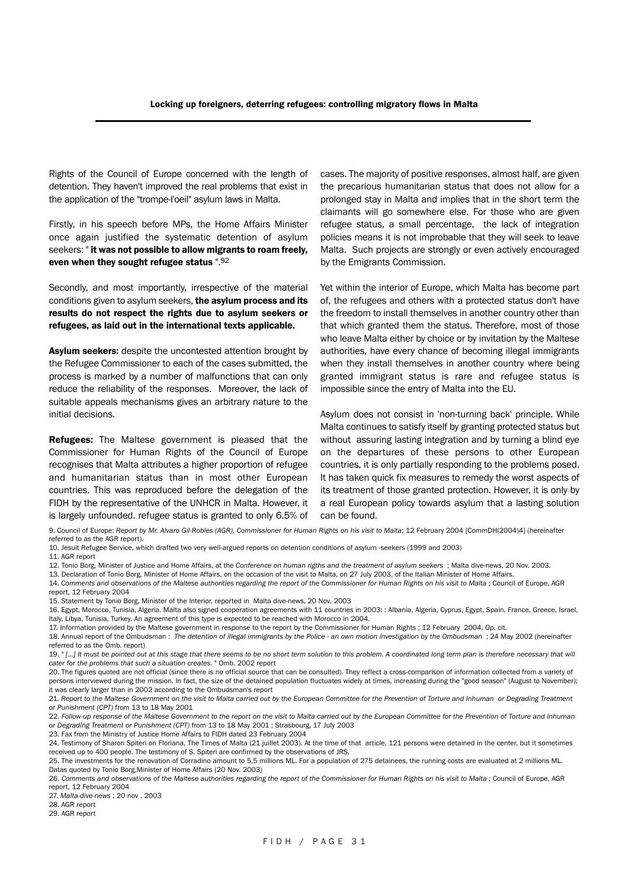Rights of the Council of Europe concerned with the length of detention. They haven't improved the real problems that exist in the application of the "trompe-l'oeil" asylum laws in Malta.

Firstly, in his speech before MPs, the Home Affairs Minister once again justified the systematic detention of asylum seekers: " it was not possible to allow migrants to roam freely, even when they sought refugee status ".92

Secondly, and most importantly, irrespective of the material conditions given to asylum seekers, the asylum process and its results do not respect the rights due to asylum seekers or refugees, as laid out in the international texts applicable.

Asylum seekers: despite the uncontested attention brought by the Refugee Commissioner to each of the cases submitted, the process is marked by a number of malfunctions that can only reduce the reliability of the responses. Moreover, the lack of suitable appeals mechanisms gives an arbitrary nature to the initial decisions.

Refugees: The Maltese government is pleased that the Commissioner for Human Rights of the Council of Europe recognises that Malta attributes a higher proportion of refugee and humanitarian status than in most other European countries. This was reproduced before the delegation of the FIDH by the representative of the UNHCR in Malta. However, it is largely unfounded. refugee status is granted to only 6.5% of cases. The majority of positive responses, almost half, are given the precarious humanitarian status that does not allow for a prolonged stay in Malta and implies that in the short term the claimants will go somewhere else. For those who are given refugee status, a small percentage, the lack of integration policies means it is not improbable that they will seek to leave Malta. Such projects are strongly or even actively encouraged by the Emigrants Commission.

Yet within the interior of Europe, which Malta has become part of, the refugees and others with a protected status don't have the freedom to install themselves in another country other than that which granted them the status. Therefore, most of those who leave Malta either by choice or by invitation by the Maltese authorities, have every chance of becoming illegal immigrants when they install themselves in another country where being granted immigrant status is rare and refugee status is impossible since the entry of Malta into the EU.

Asylum does not consist in 'non-turning back' principle. While Malta continues to satisfy itself by granting protected status but without assuring lasting integration and by turning a blind eye on the departures of these persons to other European countries, it is only partially responding to the problems posed. It has taken quick fix measures to remedy the worst aspects of its treatment of those granted protection. However, it is only by a real European policy towards asylum that a lasting solution can be found.

- 12. Tonio Borg, Minister of Justice and Home Affairs, at the *Conference on human rigths and the treatment of asylum seekers* ; Malta dive-news, 20 Nov. 2003.
- 13. Declaration of Tonio Borg, Minister of Home Affairs, on the occasion of the visit to Malta, on 27 July 2003, of the Italian Minister of Home Affairs.
- 14. *Comments and observations of the Maltese authorities regarding the report of the Commissioner for Human Rights on his visit to Malta* ; Council of Europe, AGR report, 12 February 2004
- 15. Statement by Tonio Borg, Minister of the Interior, reported in Malta dive-news, 20 Nov. 2003
- 16. Egypt, Morocco, Tunisia, Algeria. Malta also signed cooperation agreements with 11 countries in 2003: : Albania, Algeria, Cyprus, Egypt, Spain, France, Greece, Israel, Italy, Libya, Tunisia, Turkey. An agreement of this type is expected to be reached with Morocco in 2004.
- 17. Information provided by the Maltese government in response to the report by the Commissioner for Human Rights ; 12 February 2004. Op. cit.
- 18. Annual report of the Ombudsman : *The detention of illegal immigrants by the Police an own motion investigation by the Ombudsman* ; 24 May 2002 (hereinafter referred to as the Omb. report)
- 19. " *[…] It must be pointed out at this stage that there seems to be no short term solution to this problem. A coordinated long term plan is therefore necessary that will cater for the problems that such a situation creates.* " Omb. 2002 report

20. The figures quoted are not official (since there is no official source that can be consulted). They reflect a cross-comparison of information collected from a variety of persons interviewed during the mission. In fact, the size of the detained population fluctuates widely at times, increasing during the "good season" (August to November); it was clearly larger than in 2002 according to the Ombudsman's report

21. *Report to the Maltese Government on the visit to Malta carried out by the European Committee for the Prevention of Torture and Inhuman or Degrading Treatment or Punishment (CPT)* from 13 to 18 May 2001

22. *Follow-up response of the Maltese Government to the report on the visit to Malta carried out by the European Committee for the Prevention of Torture and Inhuman or Degrading Treatment or Punishment (CPT)* from 13 to 18 May 2001 ; Strasbourg, 17 July 2003

23. Fax from the Ministry of Justice Home Affairs to FIDH dated 23 February 2004

24. Testimony of Sharon Spiteri on Floriana, The Times of Malta (21 juillet 2003). At the time of that article, 121 persons were detained in the center, but it sometimes received up to 400 people. The testimony of S. Spiteri are confirmed by the observations of JRS.

25. The investments for the renovation of Corradino amount to 5,5 millions ML. For a population of 275 detainees, the running costs are evaluated at 2 millions ML. Datas quoted by Tonio Borg,Minister of Home Affairs (20 Nov. 2003)

26. *Comments and observations of the Maltese authorities regarding the report of the Commissioner for Human Rights on his visit to Malta* ; Council of Europe, AGR report, 12 February 2004

27. *Malta-dive-news* ; 20 nov . 2003

28. AGR report

29. AGR report

<sup>9.</sup> Council of Europe: Report by Mr. Alvaro Gil-Robles (AGR), Commissioner for Human Rights on his visit to Malta; 12 February 2004 [CommDH(2004)4] (hereinafter referred to as the AGR report).

<sup>10.</sup> Jesuit Refugee Service, which drafted two very well-argued reports on detention conditions of asylum -seekers (1999 and 2003)

<sup>11.</sup> AGR report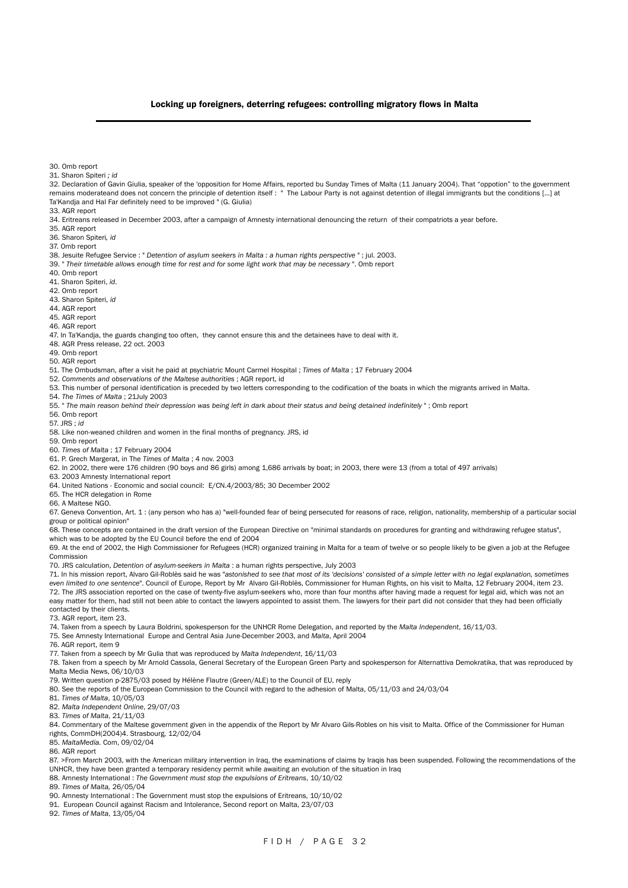#### Locking up foreigners, deterring refugees: controlling migratory flows in Malta

- 30. Omb report
- 31. Sharon Spiteri *; id*

32. Declaration of Gavin Giulia, speaker of the 'opposition for Home Affairs, reported bu Sunday Times of Malta (11 January 2004). That "oppotion" to the government remains moderateand does not concern the principle of detention itself : " The Labour Party is not against detention of illegal immigrants but the conditions [...] at Ta'Kandja and Hal Far definitely need to be improved " (G. Giulia) 33. AGR report 34. Eritreans released in December 2003, after a campaign of Amnesty international denouncing the return of their compatriots a year before. 35. AGR report 36. Sharon Spiteri*, id*

37. Omb report

38. Jesuite Refugee Service : " *Detention of asylum seekers in Malta : a human rights perspective* " ; jul. 2003.

39. " *Their timetable allows enough time for rest and for some light work that may be necessary* ". Omb report

- 40. Omb report
- 41. Sharon Spiteri, *id*.
- 42. Omb report
- 43. Sharon Spiteri, *id*
- 44. AGR report
- 45. AGR report
- 46. AGR report

47. In Ta'Kandja, the guards changing too often, they cannot ensure this and the detainees have to deal with it.

- 48. AGR Press release, 22 oct. 2003
- 49. Omb report
- 50. AGR report

51. The Ombudsman, after a visit he paid at psychiatric Mount Carmel Hospital ; *Times of Malta* ; 17 February 2004

- 52. *Comments and observations of the Maltese authorities* ; AGR report, id
- 53. This number of personal identification is preceded by two letters corresponding to the codification of the boats in which the migrants arrived in Malta.
- 54. *The Times of Malta* ; 21July 2003
- 55. " *The main reason behind their depression was being left in dark about their status and being detained indefinitely* " ; Omb report
- 56. Omb report
- 57. JRS ; *id*
- 58. Like non-weaned children and women in the final months of pregnancy. JRS, id
- 59. Omb report
- 60. *Times of Malta* ; 17 February 2004
- 61. P. Grech Margerat, in The *Times of Malta* ; 4 nov. 2003
- 62. In 2002, there were 176 children (90 boys and 86 girls) among 1,686 arrivals by boat; in 2003, there were 13 (from a total of 497 arrivals)
- 63. 2003 Amnesty International report
- 64. United Nations Economic and social council: E/CN.4/2003/85; 30 December 2002
- 65. The HCR delegation in Rome
- 66. A Maltese NGO.

67. Geneva Convention, Art. 1 : (any person who has a) "well-founded fear of being persecuted for reasons of race, religion, nationality, membership of a particular social group or political opinion"

68. These concepts are contained in the draft version of the European Directive on "minimal standards on procedures for granting and withdrawing refugee status", which was to be adopted by the EU Council before the end of 2004

69. At the end of 2002, the High Commissioner for Refugees (HCR) organized training in Malta for a team of twelve or so people likely to be given a job at the Refugee Commission

70. JRS calculation, *Detention of asylum-seekers in Malta* : a human rights perspective, July 2003

71. In his mission report, Alvaro Gil-Roblès said he was "*astonished to see that most of its 'decisions' consisted of a simple letter with no legal explanation, sometimes even limited to one sentence*". Council of Europe, Report by Mr Alvaro Gil-Roblès, Commissioner for Human Rights, on his visit to Malta, 12 February 2004, item 23. 72. The JRS association reported on the case of twenty-five asylum-seekers who, more than four months after having made a request for legal aid, which was not an easy matter for them, had still not been able to contact the lawyers appointed to assist them. The lawyers for their part did not consider that they had been officially contacted by their clients.

73. AGR report, item 23.

74. Taken from a speech by Laura Boldrini, spokesperson for the UNHCR Rome Delegation, and reported by the *Malta Independent*, 16/11/03.

75. See Amnesty International Europe and Central Asia June-December 2003, and *Malta*, April 2004 76. AGR report, item 9

77. Taken from a speech by Mr Gulia that was reproduced by *Malta Independent*, 16/11/03

78. Taken from a speech by Mr Arnold Cassola, General Secretary of the European Green Party and spokesperson for Alternattiva Demokratika, that was reproduced by Malta Media News, 06/10/03

79. Written question p-2875/03 posed by Hélène Flautre (Green/ALE) to the Council of EU, reply

80. See the reports of the European Commission to the Council with regard to the adhesion of Malta, 05/11/03 and 24/03/04

81. *Times of Malta*, 10/05/03

82. *Malta Independent Online*, 29/07/03

83. *Times of Malta*, 21/11/03

84. Commentary of the Maltese government given in the appendix of the Report by Mr Alvaro Gils-Robles on his visit to Malta. Office of the Commissioner for Human rights, CommDH(2004)4. Strasbourg, 12/02/04

85. *MaltaMedia.* Com, 09/02/04

86. AGR report

87. >From March 2003, with the American military intervention in Iraq, the examinations of claims by Iraqis has been suspended. Following the recommendations of the UNHCR, they have been granted a temporary residency permit while awaiting an evolution of the situation in Iraq

88. Amnesty International : *The Government must stop the expulsions of Eritreans*, 10/10/02

89. *Times of Malta,* 26/05/04

90. Amnesty International : The Government must stop the expulsions of Eritreans, 10/10/02

91. European Council against Racism and Intolerance, Second report on Malta, 23/07/03

92. *Times of Malta*, 13/05/04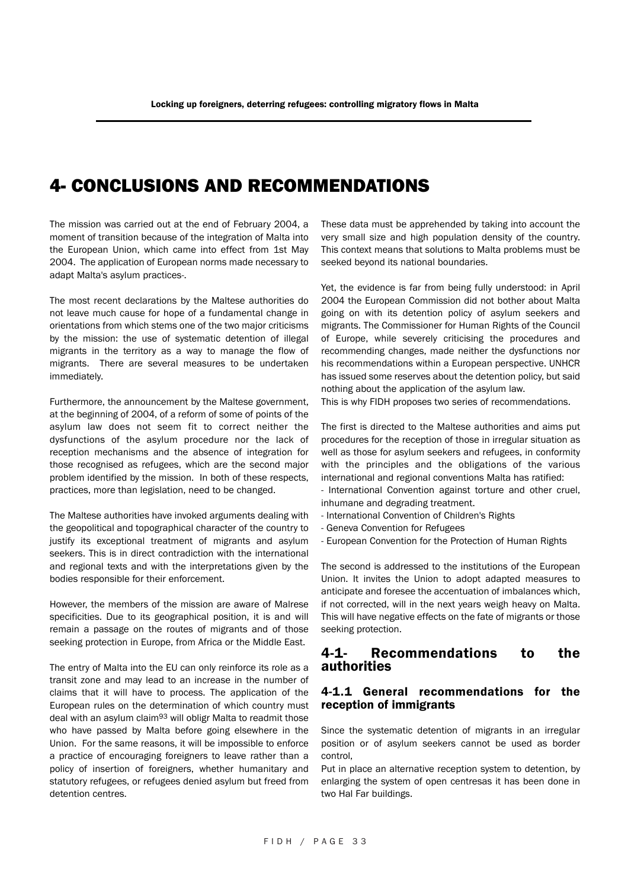## 4- CONCLUSIONS AND RECOMMENDATIONS

The mission was carried out at the end of February 2004, a moment of transition because of the integration of Malta into the European Union, which came into effect from 1st May 2004. The application of European norms made necessary to adapt Malta's asylum practices-.

The most recent declarations by the Maltese authorities do not leave much cause for hope of a fundamental change in orientations from which stems one of the two major criticisms by the mission: the use of systematic detention of illegal migrants in the territory as a way to manage the flow of migrants. There are several measures to be undertaken immediately.

Furthermore, the announcement by the Maltese government, at the beginning of 2004, of a reform of some of points of the asylum law does not seem fit to correct neither the dysfunctions of the asylum procedure nor the lack of reception mechanisms and the absence of integration for those recognised as refugees, which are the second major problem identified by the mission. In both of these respects, practices, more than legislation, need to be changed.

The Maltese authorities have invoked arguments dealing with the geopolitical and topographical character of the country to justify its exceptional treatment of migrants and asylum seekers. This is in direct contradiction with the international and regional texts and with the interpretations given by the bodies responsible for their enforcement.

However, the members of the mission are aware of Malrese specificities. Due to its geographical position, it is and will remain a passage on the routes of migrants and of those seeking protection in Europe, from Africa or the Middle East.

The entry of Malta into the EU can only reinforce its role as a transit zone and may lead to an increase in the number of claims that it will have to process. The application of the European rules on the determination of which country must deal with an asylum claim<sup>93</sup> will obligr Malta to readmit those who have passed by Malta before going elsewhere in the Union. For the same reasons, it will be impossible to enforce a practice of encouraging foreigners to leave rather than a policy of insertion of foreigners, whether humanitary and statutory refugees, or refugees denied asylum but freed from detention centres.

These data must be apprehended by taking into account the very small size and high population density of the country. This context means that solutions to Malta problems must be seeked beyond its national boundaries.

Yet, the evidence is far from being fully understood: in April 2004 the European Commission did not bother about Malta going on with its detention policy of asylum seekers and migrants. The Commissioner for Human Rights of the Council of Europe, while severely criticising the procedures and recommending changes, made neither the dysfunctions nor his recommendations within a European perspective. UNHCR has issued some reserves about the detention policy, but said nothing about the application of the asylum law.

This is why FIDH proposes two series of recommendations.

The first is directed to the Maltese authorities and aims put procedures for the reception of those in irregular situation as well as those for asylum seekers and refugees, in conformity with the principles and the obligations of the various international and regional conventions Malta has ratified:

- International Convention against torture and other cruel, inhumane and degrading treatment.

- International Convention of Children's Rights
- Geneva Convention for Refugees
- European Convention for the Protection of Human Rights

The second is addressed to the institutions of the European Union. It invites the Union to adopt adapted measures to anticipate and foresee the accentuation of imbalances which, if not corrected, will in the next years weigh heavy on Malta. This will have negative effects on the fate of migrants or those seeking protection.

#### 4-1- Recommendations to the authorities

#### 4-1.1 General recommendations for the reception of immigrants

Since the systematic detention of migrants in an irregular position or of asylum seekers cannot be used as border control,

Put in place an alternative reception system to detention, by enlarging the system of open centresas it has been done in two Hal Far buildings.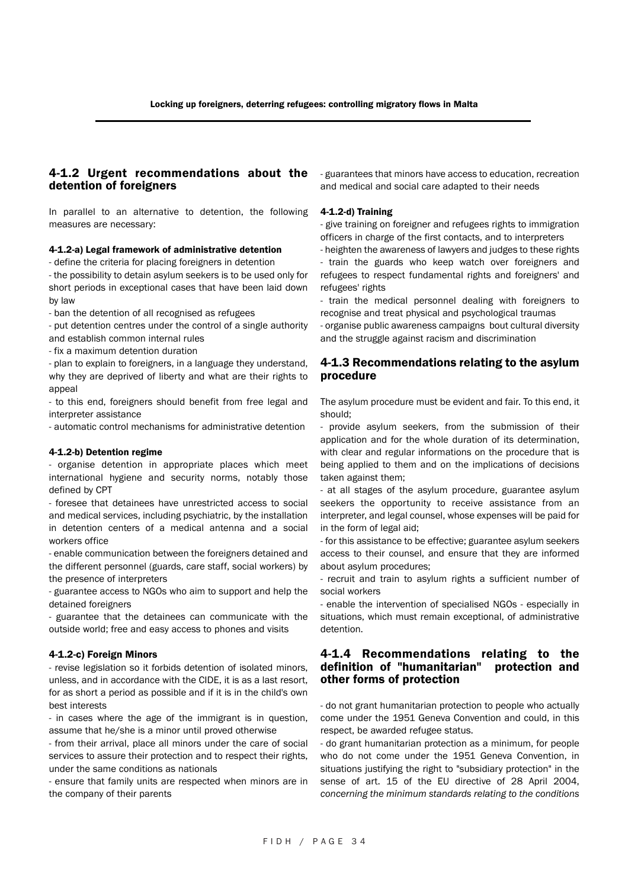#### 4-1.2 Urgent recommendations about the detention of foreigners

In parallel to an alternative to detention, the following measures are necessary:

#### 4-1.2-a) Legal framework of administrative detention

- define the criteria for placing foreigners in detention

- the possibility to detain asylum seekers is to be used only for short periods in exceptional cases that have been laid down by law

- ban the detention of all recognised as refugees

- put detention centres under the control of a single authority and establish common internal rules

- fix a maximum detention duration

- plan to explain to foreigners, in a language they understand, why they are deprived of liberty and what are their rights to appeal

- to this end, foreigners should benefit from free legal and interpreter assistance

- automatic control mechanisms for administrative detention

#### 4-1.2-b) Detention regime

- organise detention in appropriate places which meet international hygiene and security norms, notably those defined by CPT

- foresee that detainees have unrestricted access to social and medical services, including psychiatric, by the installation in detention centers of a medical antenna and a social workers office

- enable communication between the foreigners detained and the different personnel (guards, care staff, social workers) by the presence of interpreters

- guarantee access to NGOs who aim to support and help the detained foreigners

- guarantee that the detainees can communicate with the outside world; free and easy access to phones and visits

#### 4-1.2-c) Foreign Minors

- revise legislation so it forbids detention of isolated minors, unless, and in accordance with the CIDE, it is as a last resort, for as short a period as possible and if it is in the child's own best interests

- in cases where the age of the immigrant is in question, assume that he/she is a minor until proved otherwise

- from their arrival, place all minors under the care of social services to assure their protection and to respect their rights, under the same conditions as nationals

- ensure that family units are respected when minors are in the company of their parents

- guarantees that minors have access to education, recreation and medical and social care adapted to their needs

#### 4-1.2-d) Training

- give training on foreigner and refugees rights to immigration officers in charge of the first contacts, and to interpreters

- heighten the awareness of lawyers and judges to these rights - train the guards who keep watch over foreigners and refugees to respect fundamental rights and foreigners' and refugees' rights

- train the medical personnel dealing with foreigners to recognise and treat physical and psychological traumas

- organise public awareness campaigns bout cultural diversity and the struggle against racism and discrimination

#### 4-1.3 Recommendations relating to the asylum procedure

The asylum procedure must be evident and fair. To this end, it should;

- provide asylum seekers, from the submission of their application and for the whole duration of its determination, with clear and regular informations on the procedure that is being applied to them and on the implications of decisions taken against them;

- at all stages of the asylum procedure, guarantee asylum seekers the opportunity to receive assistance from an interpreter, and legal counsel, whose expenses will be paid for in the form of legal aid;

- for this assistance to be effective; guarantee asylum seekers access to their counsel, and ensure that they are informed about asylum procedures;

- recruit and train to asylum rights a sufficient number of social workers

- enable the intervention of specialised NGOs - especially in situations, which must remain exceptional, of administrative detention.

#### 4-1.4 Recommendations relating to the definition of "humanitarian" protection and other forms of protection

- do not grant humanitarian protection to people who actually come under the 1951 Geneva Convention and could, in this respect, be awarded refugee status.

- do grant humanitarian protection as a minimum, for people who do not come under the 1951 Geneva Convention, in situations justifying the right to "subsidiary protection" in the sense of art. 15 of the EU directive of 28 April 2004, *concerning the minimum standards relating to the conditions*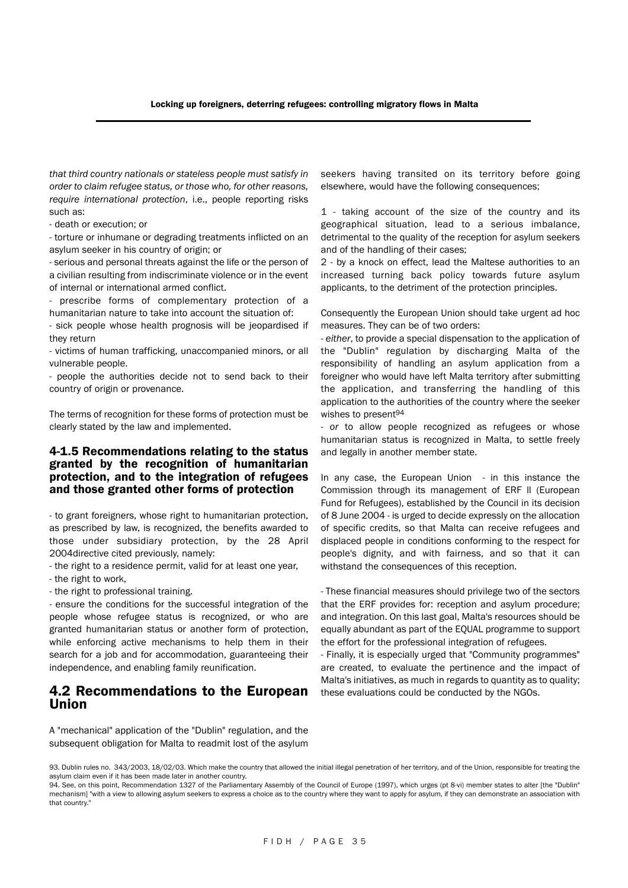*that third country nationals or stateless people must satisfy in order to claim refugee status, or those who, for other reasons, require international protection*, i.e., people reporting risks such as:

- death or execution; or

- torture or inhumane or degrading treatments inflicted on an asylum seeker in his country of origin; or

- serious and personal threats against the life or the person of a civilian resulting from indiscriminate violence or in the event of internal or international armed conflict.

prescribe forms of complementary protection of a humanitarian nature to take into account the situation of:

- sick people whose health prognosis will be jeopardised if they return

- victims of human trafficking, unaccompanied minors, or all vulnerable people.

- people the authorities decide not to send back to their country of origin or provenance.

The terms of recognition for these forms of protection must be clearly stated by the law and implemented.

#### 4-1.5 Recommendations relating to the status granted by the recognition of humanitarian protection, and to the integration of refugees and those granted other forms of protection

- to grant foreigners, whose right to humanitarian protection, as prescribed by law, is recognized, the benefits awarded to those under subsidiary protection, by the 28 April 2004directive cited previously, namely:

- the right to a residence permit, valid for at least one year,

- the right to work,

- the right to professional training.

- ensure the conditions for the successful integration of the people whose refugee status is recognized, or who are granted humanitarian status or another form of protection, while enforcing active mechanisms to help them in their search for a job and for accommodation, guaranteeing their independence, and enabling family reunification.

#### 4.2 Recommendations to the European Union

seekers having transited on its territory before going elsewhere, would have the following consequences;

1 - taking account of the size of the country and its geographical situation, lead to a serious imbalance, detrimental to the quality of the reception for asylum seekers and of the handling of their cases;

2 - by a knock on effect, lead the Maltese authorities to an increased turning back policy towards future asylum applicants, to the detriment of the protection principles.

Consequently the European Union should take urgent ad hoc measures. They can be of two orders:

- *either*, to provide a special dispensation to the application of the "Dublin" regulation by discharging Malta of the responsibility of handling an asylum application from a foreigner who would have left Malta territory after submitting the application, and transferring the handling of this application to the authorities of the country where the seeker wishes to present<sup>94</sup>

- *or* to allow people recognized as refugees or whose humanitarian status is recognized in Malta, to settle freely and legally in another member state.

In any case, the European Union - in this instance the Commission through its management of ERF ll (European Fund for Refugees), established by the Council in its decision of 8 June 2004 - is urged to decide expressly on the allocation of specific credits, so that Malta can receive refugees and displaced people in conditions conforming to the respect for people's dignity, and with fairness, and so that it can withstand the consequences of this reception.

- These financial measures should privilege two of the sectors that the ERF provides for: reception and asylum procedure; and integration. On this last goal, Malta's resources should be equally abundant as part of the EQUAL programme to support the effort for the professional integration of refugees.

- Finally, it is especially urged that "Community programmes" are created, to evaluate the pertinence and the impact of Malta's initiatives, as much in regards to quantity as to quality; these evaluations could be conducted by the NGOs.

A "mechanical" application of the "Dublin" regulation, and the subsequent obligation for Malta to readmit lost of the asylum

93. Dublin rules no. 343/2003, 18/02/03. Which make the country that allowed the initial illegal penetration of her territory, and of the Union, responsible for treating the asylum claim even if it has been made later in another country.

94. See, on this point, Recommendation 1327 of the Parliamentary Assembly of the Council of Europe (1997), which urges (pt 8-vi) member states to alter [the "Dublin" mechanism] "with a view to allowing asylum seekers to express a choice as to the country where they want to apply for asylum, if they can demonstrate an association with that country."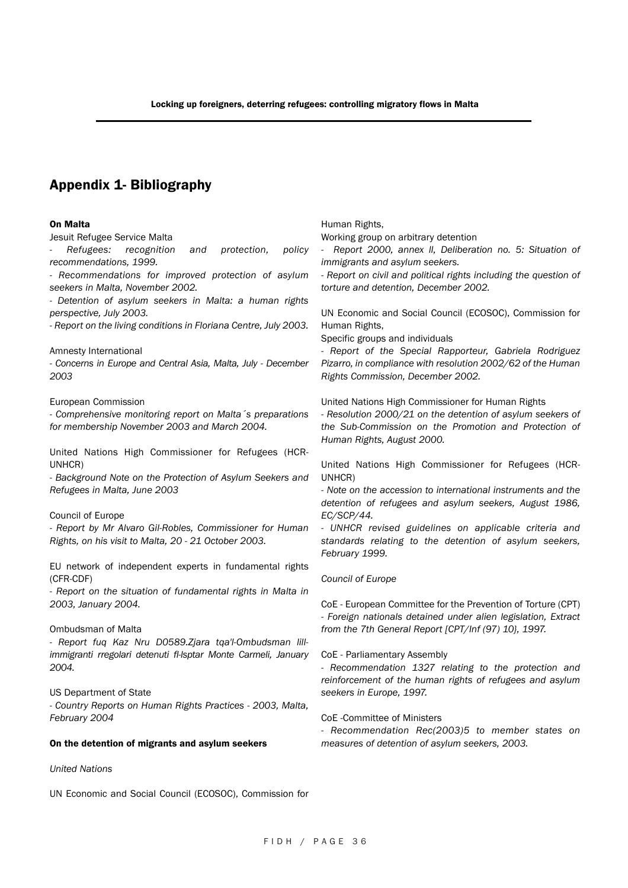## Appendix 1- Bibliography

#### On Malta

Jesuit Refugee Service Malta

*- Refugees: recognition and protection, policy recommendations, 1999. - Recommendations for improved protection of asylum*

*seekers in Malta, November 2002.*

*- Detention of asylum seekers in Malta: a human rights perspective, July 2003.*

*- Report on the living conditions in Floriana Centre, July 2003.*

Amnesty International

*- Concerns in Europe and Central Asia, Malta, July - December 2003*

#### European Commission

*- Comprehensive monitoring report on Malta´s preparations for membership November 2003 and March 2004.*

United Nations High Commissioner for Refugees (HCR-UNHCR)

*- Background Note on the Protection of Asylum Seekers and Refugees in Malta, June 2003*

#### Council of Europe

*- Report by Mr Alvaro Gil-Robles, Commissioner for Human Rights, on his visit to Malta, 20 - 21 October 2003.*

EU network of independent experts in fundamental rights (CFR-CDF)

*- Report on the situation of fundamental rights in Malta in 2003, January 2004.*

#### Ombudsman of Malta

*- Report fuq Kaz Nru D0589.Zjara tqa'l-Ombudsman lillimmigranti rregolari detenuti fl-lsptar Monte Carmeli, January 2004.*

US Department of State *- Country Reports on Human Rights Practices - 2003, Malta, February 2004*

#### On the detention of migrants and asylum seekers

#### *United Nations*

UN Economic and Social Council (ECOSOC), Commission for

Human Rights,

Working group on arbitrary detention

*- Report 2000, annex ll, Deliberation no. 5: Situation of immigrants and asylum seekers.*

*- Report on civil and political rights including the question of torture and detention, December 2002.*

UN Economic and Social Council (ECOSOC), Commission for Human Rights,

Specific groups and individuals

*- Report of the Special Rapporteur, Gabriela Rodriguez Pizarro, in compliance with resolution 2002/62 of the Human Rights Commission, December 2002.*

United Nations High Commissioner for Human Rights

*- Resolution 2000/21 on the detention of asylum seekers of the Sub-Commission on the Promotion and Protection of Human Rights, August 2000.*

United Nations High Commissioner for Refugees (HCR-UNHCR)

*- Note on the accession to international instruments and the detention of refugees and asylum seekers, August 1986, EC/SCP/44.*

*- UNHCR revised guidelines on applicable criteria and standards relating to the detention of asylum seekers, February 1999.*

#### *Council of Europe*

CoE - European Committee for the Prevention of Torture (CPT) *- Foreign nationals detained under alien legislation, Extract from the 7th General Report [CPT/Inf (97) 10}, 1997.*

#### CoE - Parliamentary Assembly

*- Recommendation 1327 relating to the protection and reinforcement of the human rights of refugees and asylum seekers in Europe, 1997.*

CoE -Committee of Ministers

*- Recommendation Rec(2003)5 to member states on measures of detention of asylum seekers, 2003.*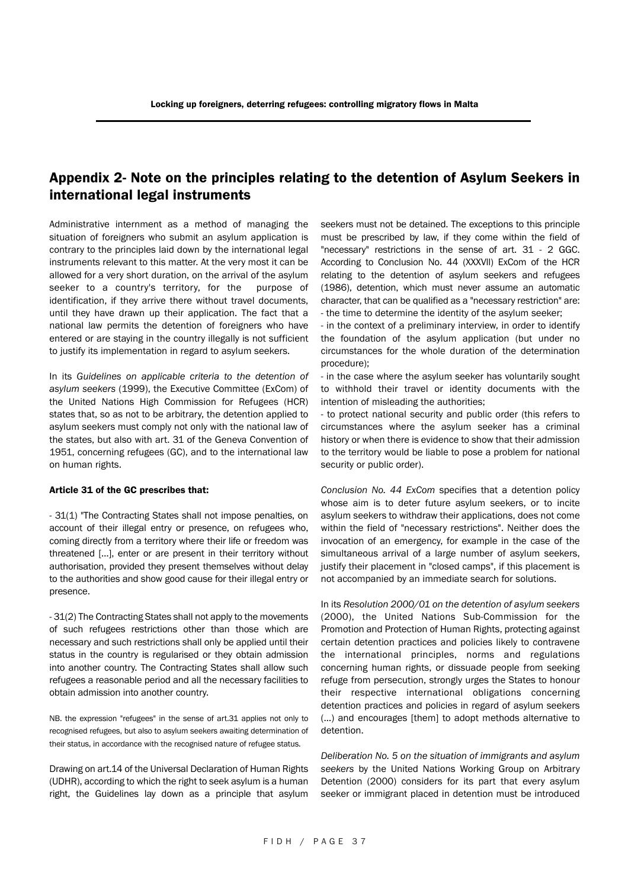## Appendix 2- Note on the principles relating to the detention of Asylum Seekers in international legal instruments

Administrative internment as a method of managing the situation of foreigners who submit an asylum application is contrary to the principles laid down by the international legal instruments relevant to this matter. At the very most it can be allowed for a very short duration, on the arrival of the asylum seeker to a country's territory, for the purpose of identification, if they arrive there without travel documents, until they have drawn up their application. The fact that a national law permits the detention of foreigners who have entered or are staying in the country illegally is not sufficient to justify its implementation in regard to asylum seekers.

In its *Guidelines on applicable criteria to the detention of asylum seekers* (1999), the Executive Committee (ExCom) of the United Nations High Commission for Refugees (HCR) states that, so as not to be arbitrary, the detention applied to asylum seekers must comply not only with the national law of the states, but also with art. 31 of the Geneva Convention of 1951, concerning refugees (GC), and to the international law on human rights.

#### Article 31 of the GC prescribes that:

- 31(1) "The Contracting States shall not impose penalties, on account of their illegal entry or presence, on refugees who, coming directly from a territory where their life or freedom was threatened […], enter or are present in their territory without authorisation, provided they present themselves without delay to the authorities and show good cause for their illegal entry or presence.

- 31(2) The Contracting States shall not apply to the movements of such refugees restrictions other than those which are necessary and such restrictions shall only be applied until their status in the country is regularised or they obtain admission into another country. The Contracting States shall allow such refugees a reasonable period and all the necessary facilities to obtain admission into another country.

NB. the expression "refugees" in the sense of art.31 applies not only to recognised refugees, but also to asylum seekers awaiting determination of their status, in accordance with the recognised nature of refugee status.

Drawing on art.14 of the Universal Declaration of Human Rights (UDHR), according to which the right to seek asylum is a human right, the Guidelines lay down as a principle that asylum seekers must not be detained. The exceptions to this principle must be prescribed by law, if they come within the field of "necessary" restrictions in the sense of art. 31 - 2 GGC. According to Conclusion No. 44 (XXXVll) ExCom of the HCR relating to the detention of asylum seekers and refugees (1986), detention, which must never assume an automatic character, that can be qualified as a "necessary restriction" are: - the time to determine the identity of the asylum seeker;

- in the context of a preliminary interview, in order to identify the foundation of the asylum application (but under no circumstances for the whole duration of the determination procedure);

- in the case where the asylum seeker has voluntarily sought to withhold their travel or identity documents with the intention of misleading the authorities;

- to protect national security and public order (this refers to circumstances where the asylum seeker has a criminal history or when there is evidence to show that their admission to the territory would be liable to pose a problem for national security or public order).

*Conclusion No. 44 ExCom* specifies that a detention policy whose aim is to deter future asylum seekers, or to incite asylum seekers to withdraw their applications, does not come within the field of "necessary restrictions". Neither does the invocation of an emergency, for example in the case of the simultaneous arrival of a large number of asylum seekers, justify their placement in "closed camps", if this placement is not accompanied by an immediate search for solutions.

In its *Resolution 2000/01 on the detention of asylum seekers* (2000), the United Nations Sub-Commission for the Promotion and Protection of Human Rights, protecting against certain detention practices and policies likely to contravene the international principles, norms and regulations concerning human rights, or dissuade people from seeking refuge from persecution, strongly urges the States to honour their respective international obligations concerning detention practices and policies in regard of asylum seekers (…) and encourages [them] to adopt methods alternative to detention.

*Deliberation No. 5 on the situation of immigrants and asylum seekers* by the United Nations Working Group on Arbitrary Detention (2000) considers for its part that every asylum seeker or immigrant placed in detention must be introduced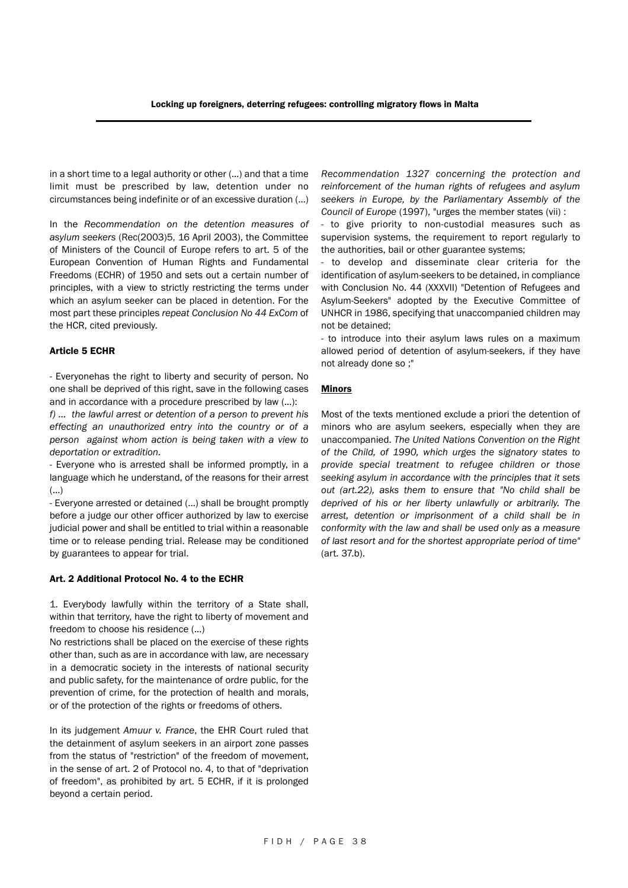in a short time to a legal authority or other (…) and that a time limit must be prescribed by law, detention under no circumstances being indefinite or of an excessive duration (…)

In the *Recommendation on the detention measures of asylum seekers* (Rec(2003)5, 16 April 2003), the Committee of Ministers of the Council of Europe refers to art. 5 of the European Convention of Human Rights and Fundamental Freedoms (ECHR) of 1950 and sets out a certain number of principles, with a view to strictly restricting the terms under which an asylum seeker can be placed in detention. For the most part these principles *repeat Conclusion No 44 ExCom* of the HCR, cited previously.

#### Article 5 ECHR

- Everyonehas the right to liberty and security of person. No one shall be deprived of this right, save in the following cases and in accordance with a procedure prescribed by law (…):

*f) … the lawful arrest or detention of a person to prevent his effecting an unauthorized entry into the country or of a person against whom action is being taken with a view to deportation or extradition.*

- Everyone who is arrested shall be informed promptly, in a language which he understand, of the reasons for their arrest (…)

- Everyone arrested or detained (…) shall be brought promptly before a judge our other officer authorized by law to exercise judicial power and shall be entitled to trial within a reasonable time or to release pending trial. Release may be conditioned by guarantees to appear for trial.

#### Art. 2 Additional Protocol No. 4 to the ECHR

1. Everybody lawfully within the territory of a State shall, within that territory, have the right to liberty of movement and freedom to choose his residence (…)

No restrictions shall be placed on the exercise of these rights other than, such as are in accordance with law, are necessary in a democratic society in the interests of national security and public safety, for the maintenance of ordre public, for the prevention of crime, for the protection of health and morals, or of the protection of the rights or freedoms of others.

In its judgement *Amuur v. France*, the EHR Court ruled that the detainment of asylum seekers in an airport zone passes from the status of "restriction" of the freedom of movement, in the sense of art. 2 of Protocol no. 4, to that of "deprivation of freedom", as prohibited by art. 5 ECHR, if it is prolonged beyond a certain period.

*Recommendation 1327 concerning the protection and reinforcement of the human rights of refugees and asylum seekers in Europe, by the Parliamentary Assembly of the Council of Europe* (1997), "urges the member states (vii) :

- to give priority to non-custodial measures such as supervision systems, the requirement to report regularly to the authorities, bail or other guarantee systems;

- to develop and disseminate clear criteria for the identification of asylum-seekers to be detained, in compliance with Conclusion No. 44 (XXXVII) "Detention of Refugees and Asylum-Seekers" adopted by the Executive Committee of UNHCR in 1986, specifying that unaccompanied children may not be detained;

- to introduce into their asylum laws rules on a maximum allowed period of detention of asylum-seekers, if they have not already done so ;"

#### Minors

Most of the texts mentioned exclude a priori the detention of minors who are asylum seekers, especially when they are unaccompanied. *The United Nations Convention on the Right of the Child, of 1990, which urges the signatory states to provide special treatment to refugee children or those seeking asylum in accordance with the principles that it sets out (art.22), asks them to ensure that "No child shall be deprived of his or her liberty unlawfully or arbitrarily. The arrest, detention or imprisonment of a child shall be in conformity with the law and shall be used only as a measure of last resort and for the shortest appropriate period of time"* (art. 37.b).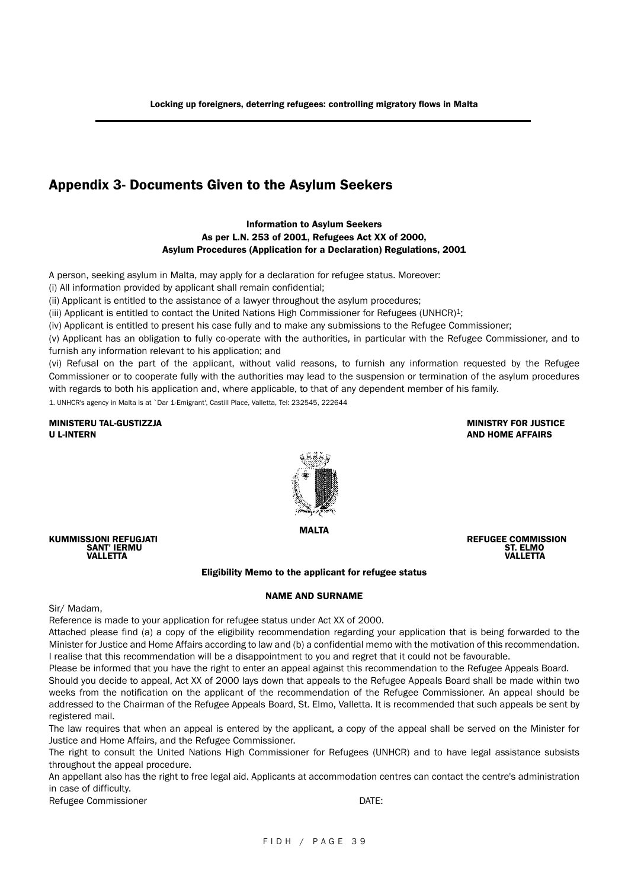## Appendix 3- Documents Given to the Asylum Seekers

#### Information to Asylum Seekers As per L.N. 253 of 2001, Refugees Act XX of 2000, Asylum Procedures (Application for a Declaration) Regulations, 2001

A person, seeking asylum in Malta, may apply for a declaration for refugee status. Moreover:

(i) All information provided by applicant shall remain confidential;

(ii) Applicant is entitled to the assistance of a lawyer throughout the asylum procedures;

(iii) Applicant is entitled to contact the United Nations High Commissioner for Refugees (UNHCR)1;

(iv) Applicant is entitled to present his case fully and to make any submissions to the Refugee Commissioner;

(v) Applicant has an obligation to fully co-operate with the authorities, in particular with the Refugee Commissioner, and to furnish any information relevant to his application; and

(vi) Refusal on the part of the applicant, without valid reasons, to furnish any information requested by the Refugee Commissioner or to cooperate fully with the authorities may lead to the suspension or termination of the asylum procedures with regards to both his application and, where applicable, to that of any dependent member of his family.

1. UNHCR's agency in Malta is at `Dar 1-Emigrant', Castill Place, Valletta, Tel: 232545, 222644

MINISTERU TAL-GUSTIZZJA MINISTRY FOR JUSTICE U L-INTERN AND HOME AFFAIRS



MALTA

KUMMISSJONI REFUGJATI REFUGEE COMMISSION SANT' IERMU ST. ELMO VALLETTA VALLETTA

#### Eligibility Memo to the applicant for refugee status

#### NAME AND SURNAME

Sir/ Madam,

Reference is made to your application for refugee status under Act XX of 2000.

Attached please find (a) a copy of the eligibility recommendation regarding your application that is being forwarded to the Minister for Justice and Home Affairs according to law and (b) a confidential memo with the motivation of this recommendation. I realise that this recommendation will be a disappointment to you and regret that it could not be favourable.

Please be informed that you have the right to enter an appeal against this recommendation to the Refugee Appeals Board.

Should you decide to appeal, Act XX of 2000 lays down that appeals to the Refugee Appeals Board shall be made within two weeks from the notification on the applicant of the recommendation of the Refugee Commissioner. An appeal should be addressed to the Chairman of the Refugee Appeals Board, St. Elmo, Valletta. It is recommended that such appeals be sent by registered mail.

The law requires that when an appeal is entered by the applicant, a copy of the appeal shall be served on the Minister for Justice and Home Affairs, and the Refugee Commissioner.

The right to consult the United Nations High Commissioner for Refugees (UNHCR) and to have legal assistance subsists throughout the appeal procedure.

An appellant also has the right to free legal aid. Applicants at accommodation centres can contact the centre's administration in case of difficulty.

Refugee Commissioner **DATE:**